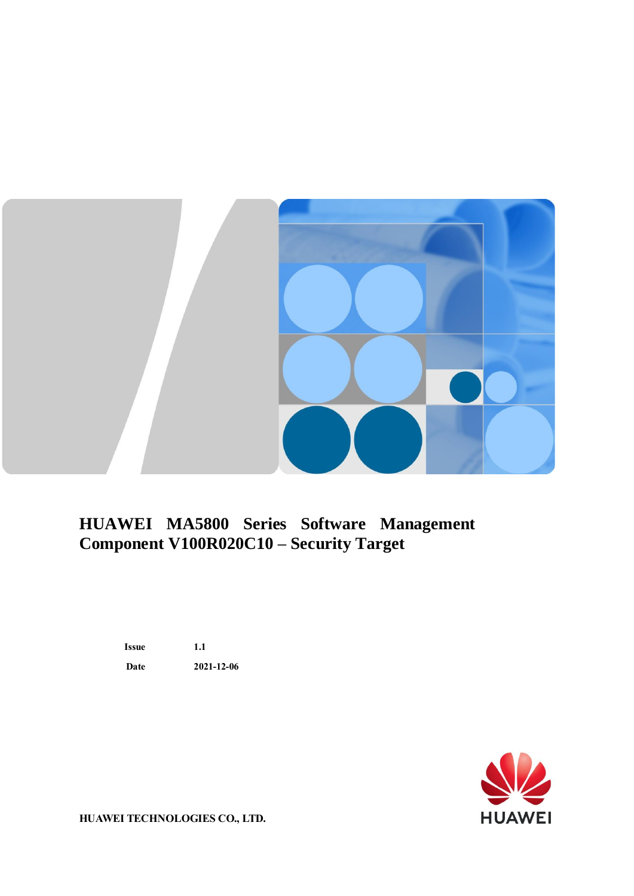

## **HUAWEI MA5800 Series Software Management Component V100R020C10 – Security Target**

**Issue 1.1 Date 2021-12-06**



**HUAWEI TECHNOLOGIES CO., LTD.**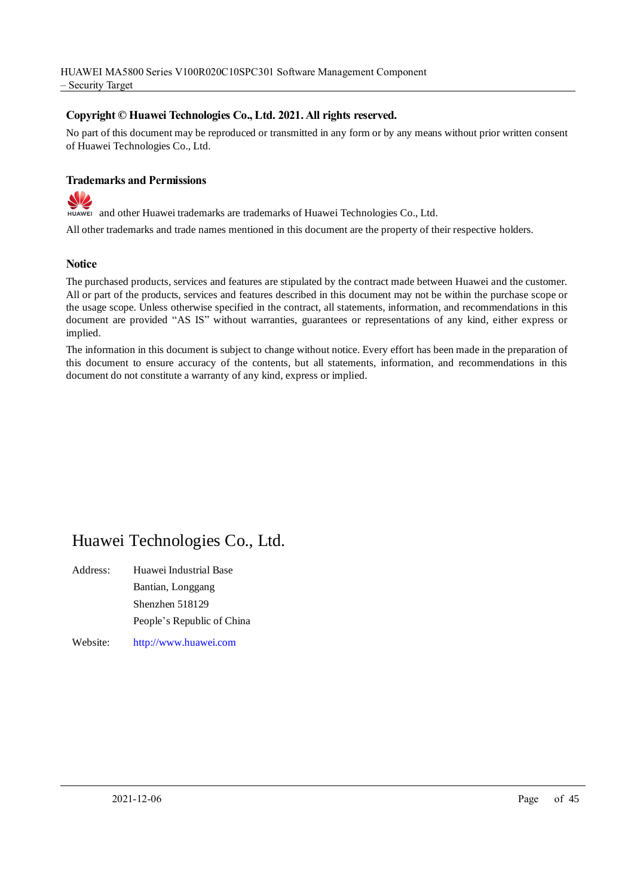#### **Copyright © Huawei Technologies Co., Ltd. 2021. All rights reserved.**

No part of this document may be reproduced or transmitted in any form or by any means without prior written consent of Huawei Technologies Co., Ltd.

#### **Trademarks and Permissions**

S and other Huawei trademarks are trademarks of Huawei Technologies Co., Ltd.

All other trademarks and trade names mentioned in this document are the property of their respective holders.

#### **Notice**

The purchased products, services and features are stipulated by the contract made between Huawei and the customer. All or part of the products, services and features described in this document may not be within the purchase scope or the usage scope. Unless otherwise specified in the contract, all statements, information, and recommendations in this document are provided "AS IS" without warranties, guarantees or representations of any kind, either express or implied.

The information in this document is subject to change without notice. Every effort has been made in the preparation of this document to ensure accuracy of the contents, but all statements, information, and recommendations in this document do not constitute a warranty of any kind, express or implied.

### Huawei Technologies Co., Ltd.

Address: Huawei Industrial Base Bantian, Longgang Shenzhen 518129 People's Republic of China

Website: [http://www.huawei.com](http://www.huawei.com/)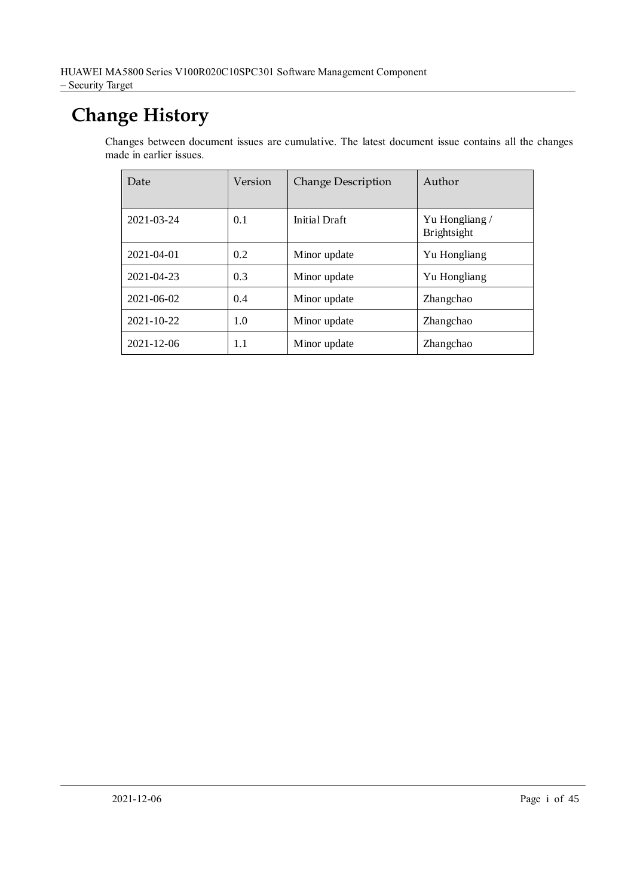## **Change History**

Changes between document issues are cumulative. The latest document issue contains all the changes made in earlier issues.

| Date             | Version | <b>Change Description</b> | Author                              |
|------------------|---------|---------------------------|-------------------------------------|
| 2021-03-24       | 0.1     | Initial Draft             | Yu Hongliang/<br><b>Brightsight</b> |
| $2021 - 04 - 01$ | 0.2     | Minor update              | Yu Hongliang                        |
| 2021-04-23       | 0.3     | Minor update              | Yu Hongliang                        |
| $2021 - 06 - 02$ | 0.4     | Minor update              | Zhangchao                           |
| $2021 - 10 - 22$ | 1.0     | Minor update              | Zhangchao                           |
| 2021-12-06       | 1.1     | Minor update              | Zhangchao                           |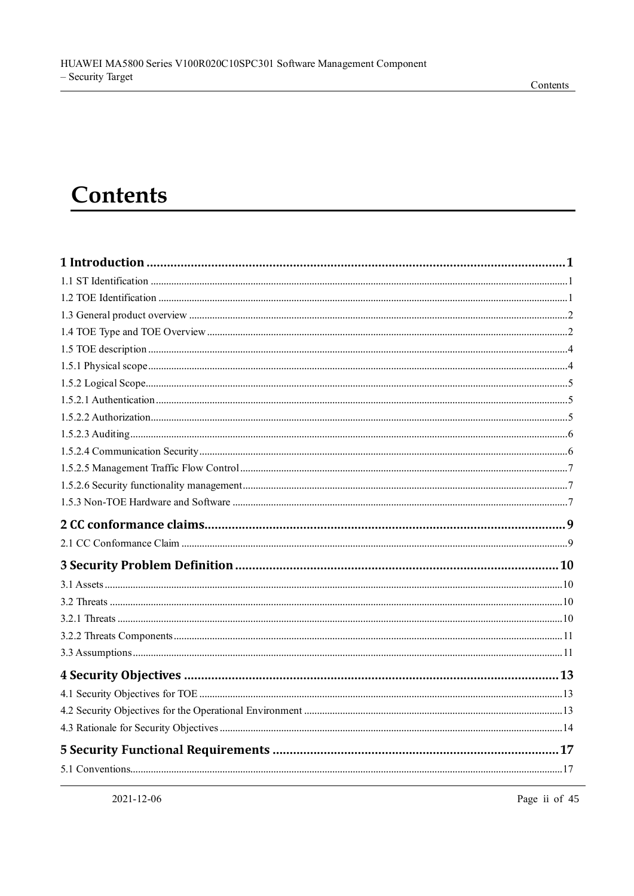#### Contents

## **Contents**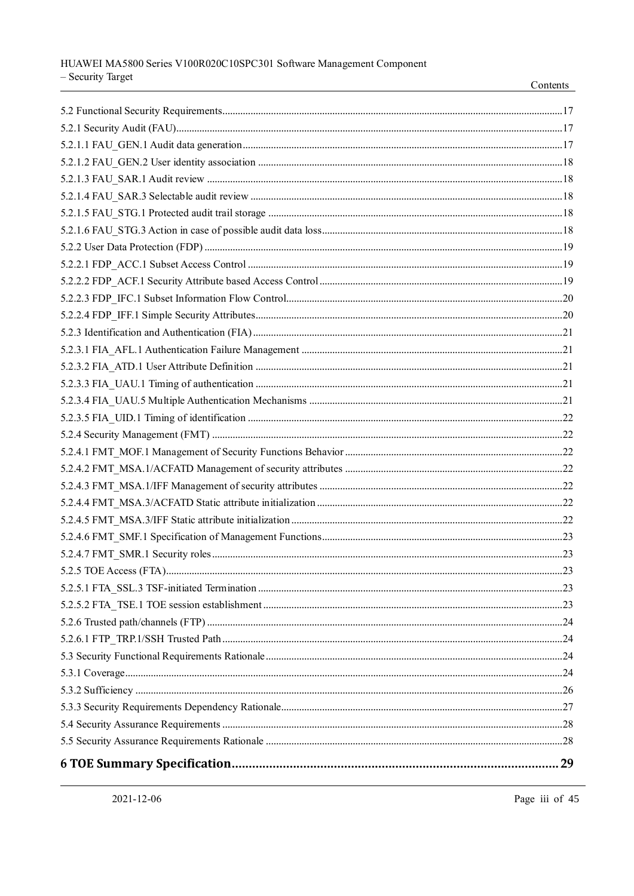| 29 |
|----|

Contents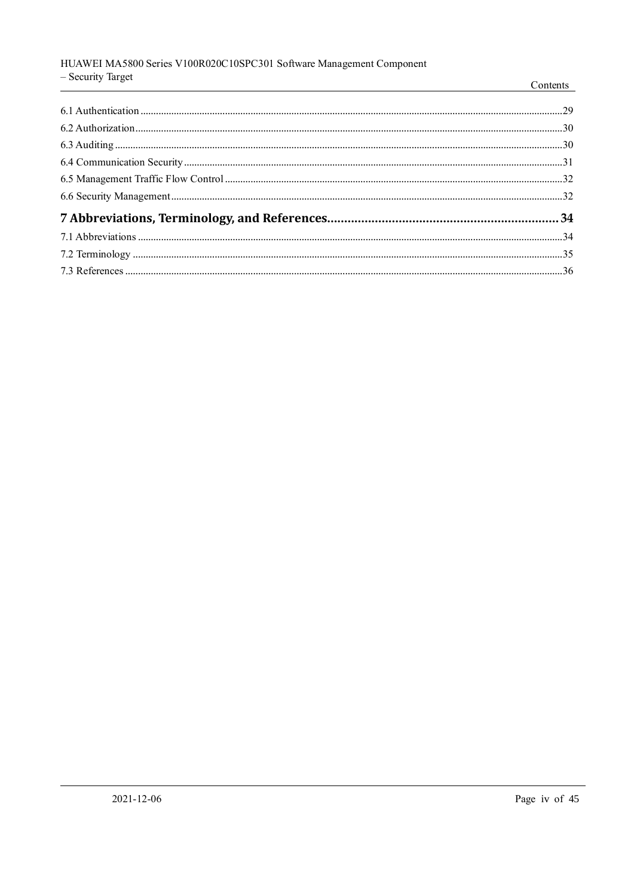#### HUAWEI MA5800 Series V100R020C10SPC301 Software Management Component - Security Target

| $\cup$ County interv<br><u> 1989 - Johann Harry Harry Harry Harry Harry Harry Harry Harry Harry Harry Harry Harry Harry Harry Harry Harry</u> | Contents |
|-----------------------------------------------------------------------------------------------------------------------------------------------|----------|
|                                                                                                                                               |          |
|                                                                                                                                               |          |
|                                                                                                                                               |          |
|                                                                                                                                               |          |
|                                                                                                                                               |          |
|                                                                                                                                               |          |
|                                                                                                                                               |          |
|                                                                                                                                               |          |
|                                                                                                                                               |          |
|                                                                                                                                               |          |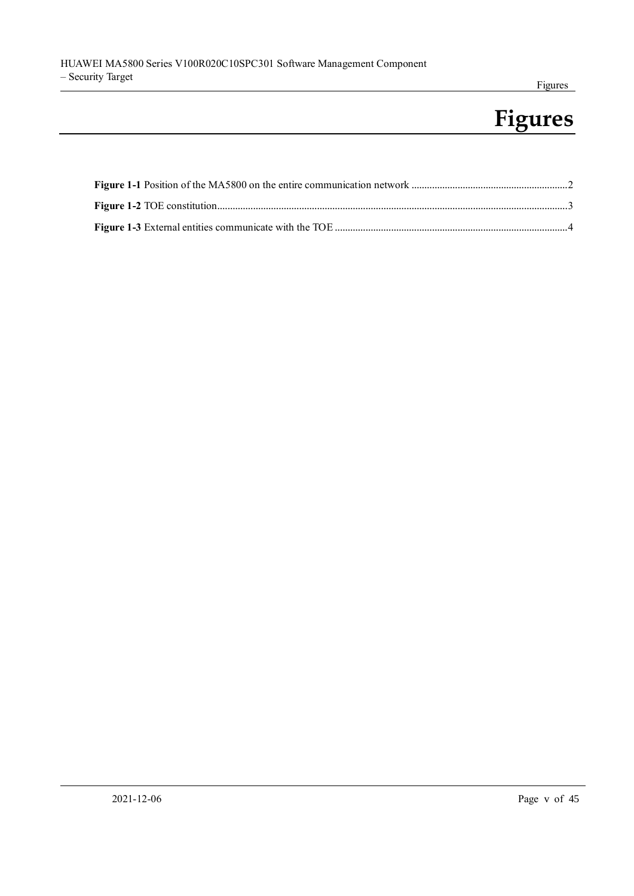## **Figures**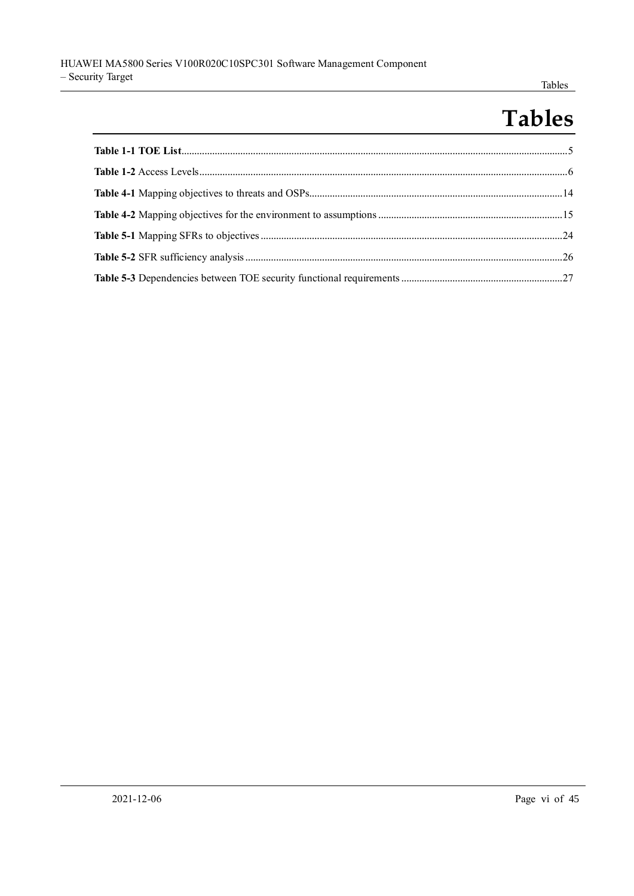#### Tables

## **Tables**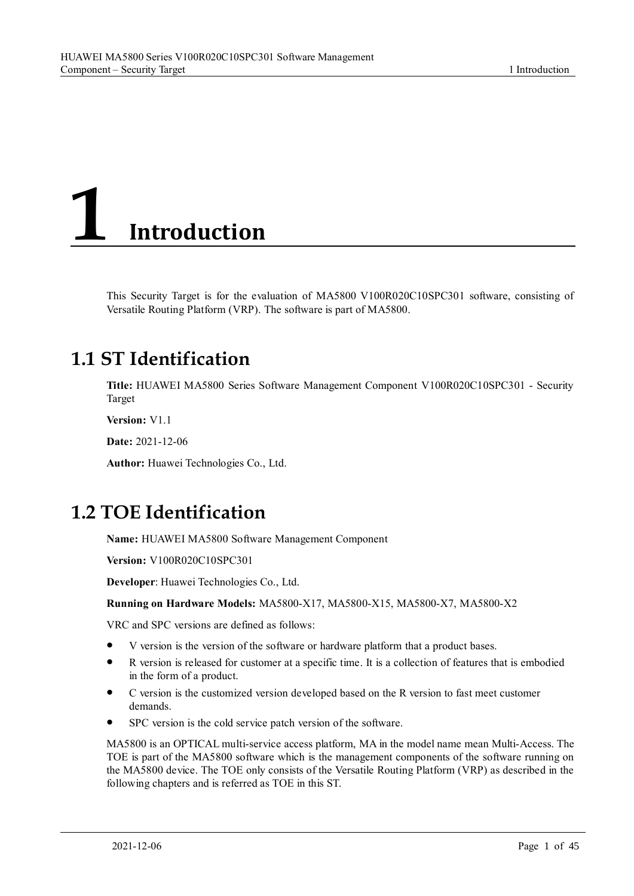# <span id="page-8-0"></span>**1 Introduction**

This Security Target is for the evaluation of MA5800 V100R020C10SPC301 software, consisting of Versatile Routing Platform (VRP). The software is part of MA5800.

## <span id="page-8-1"></span>**1.1 ST Identification**

**Title:** HUAWEI MA5800 Series Software Management Component V100R020C10SPC301 - Security Target

**Version:** V1.1

**Date:** 2021-12-06

**Author:** Huawei Technologies Co., Ltd.

## <span id="page-8-2"></span>**1.2 TOE Identification**

**Name:** HUAWEI MA5800 Software Management Component

**Version:** V100R020C10SPC301

**Developer**: Huawei Technologies Co., Ltd.

**Running on Hardware Models:** MA5800-X17, MA5800-X15, MA5800-X7, MA5800-X2

VRC and SPC versions are defined as follows:

- ⚫ V version is the version of the software or hardware platform that a product bases.
- ⚫ R version is released for customer at a specific time. It is a collection of features that is embodied in the form of a product.
- ⚫ C version is the customized version developed based on the R version to fast meet customer demands.
- ⚫ SPC version is the cold service patch version of the software.

MA5800 is an OPTICAL multi-service access platform, MA in the model name mean Multi-Access. The TOE is part of the MA5800 software which is the management components of the software running on the MA5800 device. The TOE only consists of the Versatile Routing Platform (VRP) as described in the following chapters and is referred as TOE in this ST.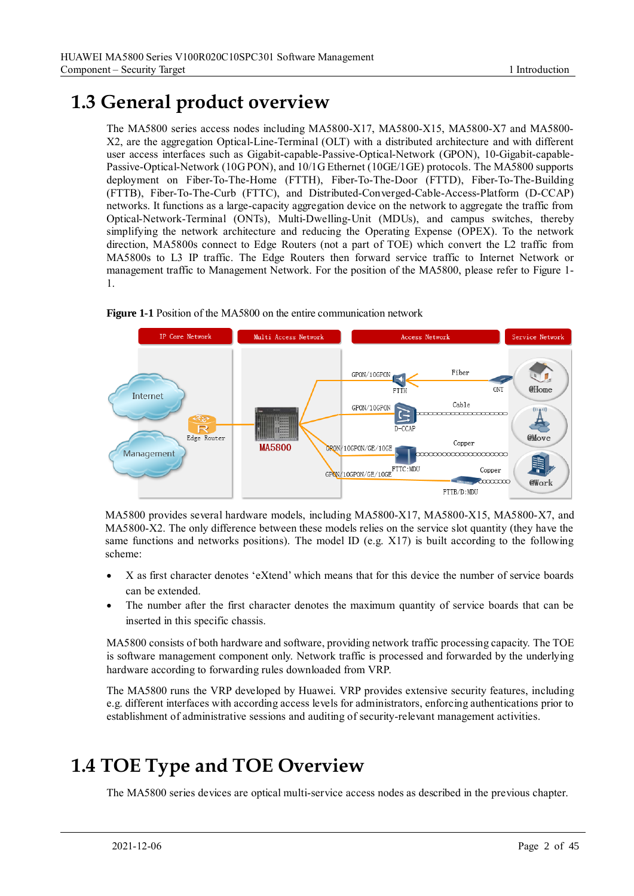## <span id="page-9-0"></span>**1.3 General product overview**

The MA5800 series access nodes including MA5800-X17, MA5800-X15, MA5800-X7 and MA5800- X2, are the aggregation Optical-Line-Terminal (OLT) with a distributed architecture and with different user access interfaces such as Gigabit-capable-Passive-Optical-Network (GPON), 10-Gigabit-capable-Passive-Optical-Network (10G PON), and 10/1G Ethernet (10GE/1GE) protocols. The MA5800 supports deployment on Fiber-To-The-Home (FTTH), Fiber-To-The-Door (FTTD), Fiber-To-The-Building (FTTB), Fiber-To-The-Curb (FTTC), and Distributed-Converged-Cable-Access-Platform (D-CCAP) networks. It functions as a large-capacity aggregation device on the network to aggregate the traffic from Optical-Network-Terminal (ONTs), Multi-Dwelling-Unit (MDUs), and campus switches, thereby simplifying the network architecture and reducing the Operating Expense (OPEX). To the network direction, MA5800s connect to Edge Routers (not a part of TOE) which convert the L2 traffic from MA5800s to L3 IP traffic. The Edge Routers then forward service traffic to Internet Network or management traffic to Management Network. For the position of the MA5800, please refer to Figure 1- 1.

<span id="page-9-2"></span>

#### **Figure 1-1** Position of the MA5800 on the entire communication network

MA5800 provides several hardware models, including MA5800-X17, MA5800-X15, MA5800-X7, and MA5800-X2. The only difference between these models relies on the service slot quantity (they have the same functions and networks positions). The model ID (e.g. X17) is built according to the following scheme:

- X as first character denotes 'eXtend' which means that for this device the number of service boards can be extended.
- The number after the first character denotes the maximum quantity of service boards that can be inserted in this specific chassis.

MA5800 consists of both hardware and software, providing network traffic processing capacity. The TOE is software management component only. Network traffic is processed and forwarded by the underlying hardware according to forwarding rules downloaded from VRP.

The MA5800 runs the VRP developed by Huawei. VRP provides extensive security features, including e.g. different interfaces with according access levels for administrators, enforcing authentications prior to establishment of administrative sessions and auditing of security-relevant management activities.

## <span id="page-9-1"></span>**1.4 TOE Type and TOE Overview**

The MA5800 series devices are optical multi-service access nodes as described in the previous chapter.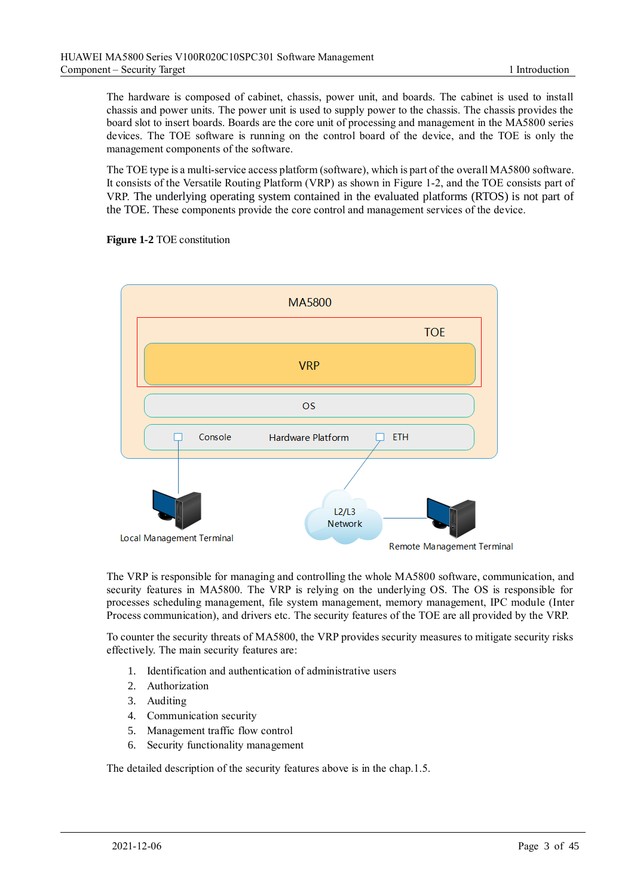The hardware is composed of cabinet, chassis, power unit, and boards. The cabinet is used to install chassis and power units. The power unit is used to supply power to the chassis. The chassis provides the board slot to insert boards. Boards are the core unit of processing and management in the MA5800 series devices. The TOE software is running on the control board of the device, and the TOE is only the management components of the software.

The TOE type is a multi-service access platform (software), which is part of the overall MA5800 software. It consists of the Versatile Routing Platform (VRP) as shown in Figure 1-2, and the TOE consists part of VRP. The underlying operating system contained in the evaluated platforms (RTOS) is not part of the TOE. These components provide the core control and management services of the device.

<span id="page-10-0"></span>



The VRP is responsible for managing and controlling the whole MA5800 software, communication, and security features in MA5800. The VRP is relying on the underlying OS. The OS is responsible for processes scheduling management, file system management, memory management, IPC module (Inter Process communication), and drivers etc. The security features of the TOE are all provided by the VRP.

To counter the security threats of MA5800, the VRP provides security measures to mitigate security risks effectively. The main security features are:

- 1. Identification and authentication of administrative users
- 2. Authorization
- 3. Auditing
- 4. Communication security
- 5. Management traffic flow control
- 6. Security functionality management

The detailed description of the security features above is in the chap.1.5.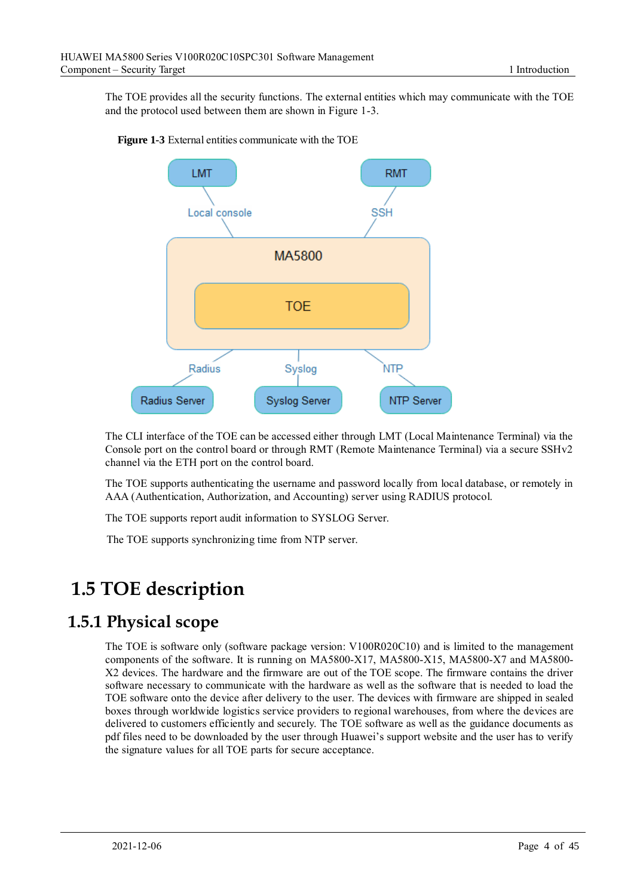The TOE provides all the security functions. The external entities which may communicate with the TOE and the protocol used between them are shown in Figure 1-3.



<span id="page-11-2"></span>**Figure 1-3** External entities communicate with the TOE

The CLI interface of the TOE can be accessed either through LMT (Local Maintenance Terminal) via the Console port on the control board or through RMT (Remote Maintenance Terminal) via a secure SSHv2 channel via the ETH port on the control board.

The TOE supports authenticating the username and password locally from local database, or remotely in AAA (Authentication, Authorization, and Accounting) server using RADIUS protocol.

The TOE supports report audit information to SYSLOG Server.

The TOE supports synchronizing time from NTP server.

## <span id="page-11-0"></span>**1.5 TOE description**

#### <span id="page-11-1"></span>**1.5.1 Physical scope**

The TOE is software only (software package version: V100R020C10) and is limited to the management components of the software. It is running on MA5800-X17, MA5800-X15, MA5800-X7 and MA5800- X2 devices. The hardware and the firmware are out of the TOE scope. The firmware contains the driver software necessary to communicate with the hardware as well as the software that is needed to load the TOE software onto the device after delivery to the user. The devices with firmware are shipped in sealed boxes through worldwide logistics service providers to regional warehouses, from where the devices are delivered to customers efficiently and securely. The TOE software as well as the guidance documents as pdf files need to be downloaded by the user through Huawei's support website and the user has to verify the signature values for all TOE parts for secure acceptance.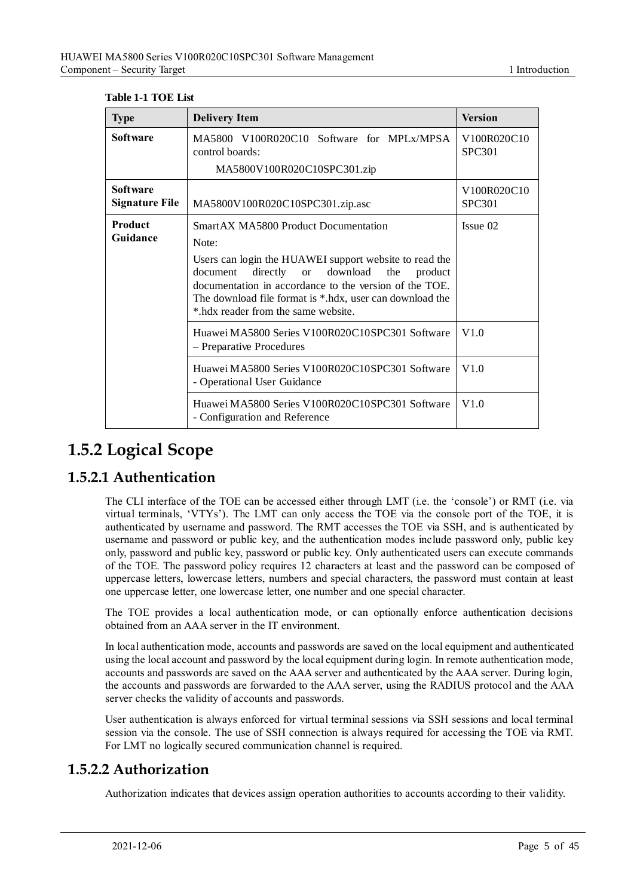#### <span id="page-12-3"></span>**Table 1-1 TOE List**

| <b>Type</b>                              | <b>Delivery Item</b>                                                                                                                                                                                                                                                                                                                 | <b>Version</b>               |
|------------------------------------------|--------------------------------------------------------------------------------------------------------------------------------------------------------------------------------------------------------------------------------------------------------------------------------------------------------------------------------------|------------------------------|
| <b>Software</b>                          | MA5800 V100R020C10 Software for MPLx/MPSA<br>control boards:<br>MA5800V100R020C10SPC301.zip                                                                                                                                                                                                                                          | V100R020C10<br><b>SPC301</b> |
| <b>Software</b><br><b>Signature File</b> | MA5800V100R020C10SPC301.zip.asc                                                                                                                                                                                                                                                                                                      | V100R020C10<br><b>SPC301</b> |
| <b>Product</b><br>Guidance               | <b>SmartAX MA5800 Product Documentation</b><br>Note:<br>Users can login the HUAWEI support website to read the<br>download<br>directly or<br>the<br>document<br>product<br>documentation in accordance to the version of the TOE.<br>The download file format is *.hdx, user can download the<br>* hdx reader from the same website. | Issue 02                     |
|                                          | Huawei MA5800 Series V100R020C10SPC301 Software<br>- Preparative Procedures                                                                                                                                                                                                                                                          | V1.0                         |
|                                          | Huawei MA5800 Series V100R020C10SPC301 Software<br>- Operational User Guidance                                                                                                                                                                                                                                                       | V1.0                         |
|                                          | Huawei MA5800 Series V100R020C10SPC301 Software<br>- Configuration and Reference                                                                                                                                                                                                                                                     | V1.0                         |

### <span id="page-12-0"></span>**1.5.2 Logical Scope**

#### <span id="page-12-1"></span>**1.5.2.1 Authentication**

The CLI interface of the TOE can be accessed either through LMT (i.e. the 'console') or RMT (i.e. via virtual terminals, 'VTYs'). The LMT can only access the TOE via the console port of the TOE, it is authenticated by username and password. The RMT accesses the TOE via SSH, and is authenticated by username and password or public key, and the authentication modes include password only, public key only, password and public key, password or public key. Only authenticated users can execute commands of the TOE. The password policy requires 12 characters at least and the password can be composed of uppercase letters, lowercase letters, numbers and special characters, the password must contain at least one uppercase letter, one lowercase letter, one number and one special character.

The TOE provides a local authentication mode, or can optionally enforce authentication decisions obtained from an AAA server in the IT environment.

In local authentication mode, accounts and passwords are saved on the local equipment and authenticated using the local account and password by the local equipment during login. In remote authentication mode, accounts and passwords are saved on the AAA server and authenticated by the AAA server. During login, the accounts and passwords are forwarded to the AAA server, using the RADIUS protocol and the AAA server checks the validity of accounts and passwords.

User authentication is always enforced for virtual terminal sessions via SSH sessions and local terminal session via the console. The use of SSH connection is always required for accessing the TOE via RMT. For LMT no logically secured communication channel is required.

#### <span id="page-12-2"></span>**1.5.2.2 Authorization**

Authorization indicates that devices assign operation authorities to accounts according to their validity.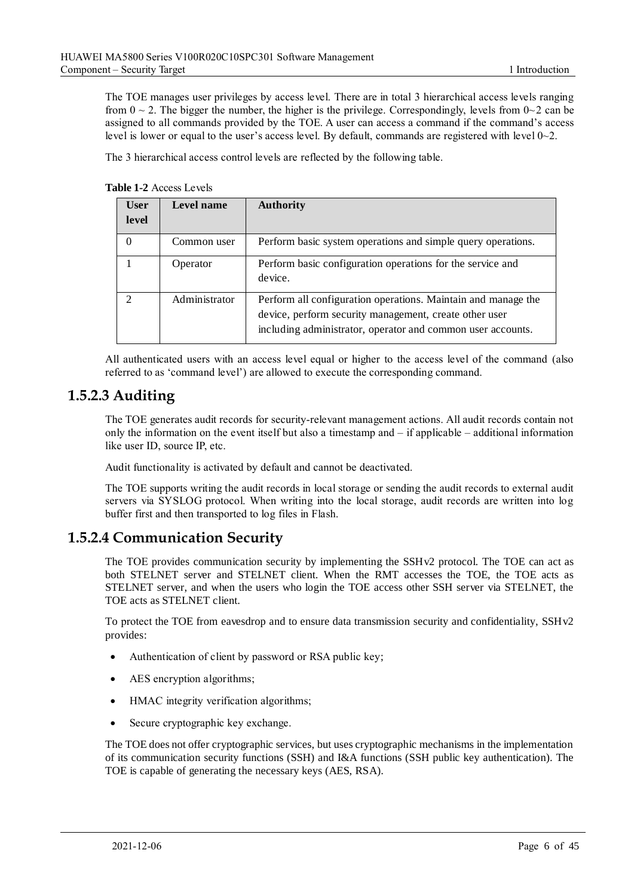The TOE manages user privileges by access level. There are in total 3 hierarchical access levels ranging from  $0 \sim 2$ . The bigger the number, the higher is the privilege. Correspondingly, levels from  $0 \sim 2$  can be assigned to all commands provided by the TOE. A user can access a command if the command's access level is lower or equal to the user's access level. By default, commands are registered with level 0~2.

The 3 hierarchical access control levels are reflected by the following table.

<span id="page-13-2"></span>**Table 1-2** Access Levels

| <b>User</b><br>level        | Level name    | <b>Authority</b>                                                                                                                                                                       |
|-----------------------------|---------------|----------------------------------------------------------------------------------------------------------------------------------------------------------------------------------------|
| $\theta$                    | Common user   | Perform basic system operations and simple query operations.                                                                                                                           |
|                             | Operator      | Perform basic configuration operations for the service and<br>device.                                                                                                                  |
| $\mathcal{D}_{\mathcal{L}}$ | Administrator | Perform all configuration operations. Maintain and manage the<br>device, perform security management, create other user<br>including administrator, operator and common user accounts. |

All authenticated users with an access level equal or higher to the access level of the command (also referred to as 'command level') are allowed to execute the corresponding command.

#### <span id="page-13-0"></span>**1.5.2.3 Auditing**

The TOE generates audit records for security-relevant management actions. All audit records contain not only the information on the event itself but also a timestamp and – if applicable – additional information like user ID, source IP, etc.

Audit functionality is activated by default and cannot be deactivated.

The TOE supports writing the audit records in local storage or sending the audit records to external audit servers via SYSLOG protocol. When writing into the local storage, audit records are written into log buffer first and then transported to log files in Flash.

#### <span id="page-13-1"></span>**1.5.2.4 Communication Security**

The TOE provides communication security by implementing the SSHv2 protocol. The TOE can act as both STELNET server and STELNET client. When the RMT accesses the TOE, the TOE acts as STELNET server, and when the users who login the TOE access other SSH server via STELNET, the TOE acts as STELNET client.

To protect the TOE from eavesdrop and to ensure data transmission security and confidentiality, SSHv2 provides:

- Authentication of client by password or RSA public key;
- AES encryption algorithms;
- HMAC integrity verification algorithms;
- Secure cryptographic key exchange.

The TOE does not offer cryptographic services, but uses cryptographic mechanisms in the implementation of its communication security functions (SSH) and I&A functions (SSH public key authentication). The TOE is capable of generating the necessary keys (AES, RSA).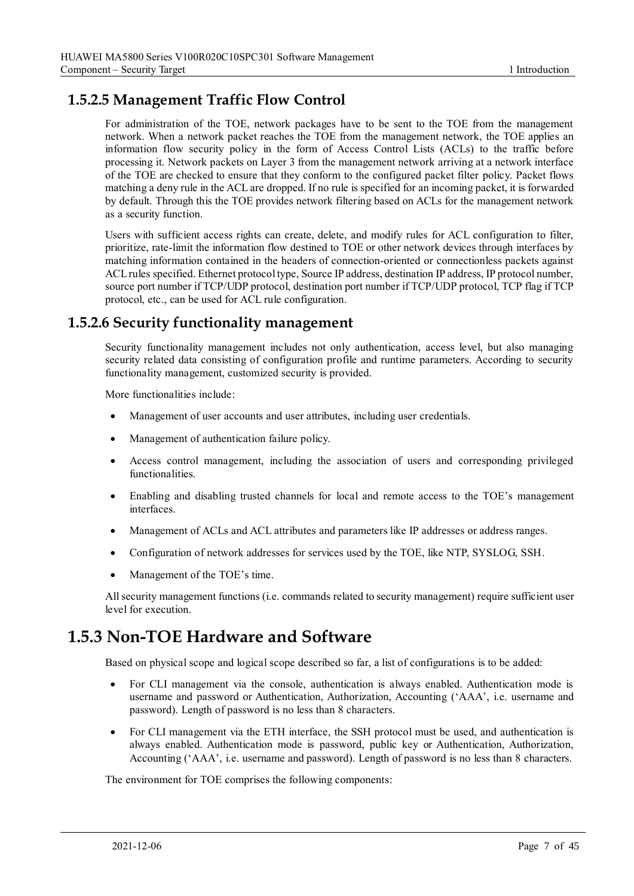#### <span id="page-14-0"></span>**1.5.2.5 Management Traffic Flow Control**

For administration of the TOE, network packages have to be sent to the TOE from the management network. When a network packet reaches the TOE from the management network, the TOE applies an information flow security policy in the form of Access Control Lists (ACLs) to the traffic before processing it. Network packets on Layer 3 from the management network arriving at a network interface of the TOE are checked to ensure that they conform to the configured packet filter policy. Packet flows matching a deny rule in the ACL are dropped. If no rule is specified for an incoming packet, it is forwarded by default. Through this the TOE provides network filtering based on ACLs for the management network as a security function.

Users with sufficient access rights can create, delete, and modify rules for ACL configuration to filter, prioritize, rate-limit the information flow destined to TOE or other network devices through interfaces by matching information contained in the headers of connection-oriented or connectionless packets against ACL rules specified. Ethernet protocol type, Source IP address, destination IP address, IP protocol number, source port number if TCP/UDP protocol, destination port number if TCP/UDP protocol, TCP flag if TCP protocol, etc., can be used for ACL rule configuration.

#### <span id="page-14-1"></span>**1.5.2.6 Security functionality management**

Security functionality management includes not only authentication, access level, but also managing security related data consisting of configuration profile and runtime parameters. According to security functionality management, customized security is provided.

More functionalities include:

- Management of user accounts and user attributes, including user credentials.
- Management of authentication failure policy.
- Access control management, including the association of users and corresponding privileged functionalities.
- Enabling and disabling trusted channels for local and remote access to the TOE's management interfaces.
- Management of ACLs and ACL attributes and parameters like IP addresses or address ranges.
- Configuration of network addresses for services used by the TOE, like NTP, SYSLOG, SSH.
- Management of the TOE's time.

All security management functions (i.e. commands related to security management) require sufficient user level for execution.

### <span id="page-14-2"></span>**1.5.3 Non-TOE Hardware and Software**

Based on physical scope and logical scope described so far, a list of configurations is to be added:

- For CLI management via the console, authentication is always enabled. Authentication mode is username and password or Authentication, Authorization, Accounting ('AAA', i.e. username and password). Length of password is no less than 8 characters.
- For CLI management via the ETH interface, the SSH protocol must be used, and authentication is always enabled. Authentication mode is password, public key or Authentication, Authorization, Accounting ('AAA', i.e. username and password). Length of password is no less than 8 characters.

The environment for TOE comprises the following components: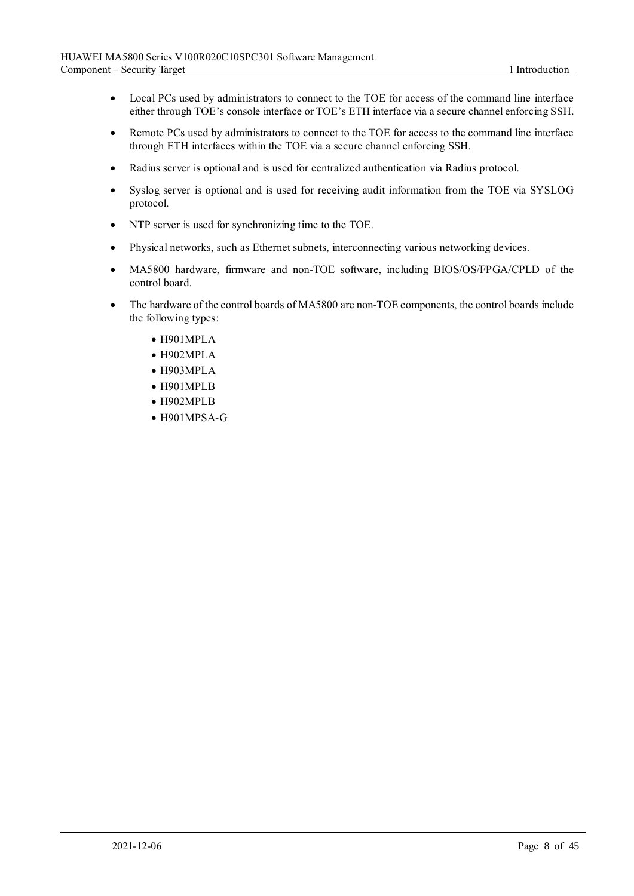- Local PCs used by administrators to connect to the TOE for access of the command line interface either through TOE's console interface or TOE's ETH interface via a secure channel enforcing SSH.
- Remote PCs used by administrators to connect to the TOE for access to the command line interface through ETH interfaces within the TOE via a secure channel enforcing SSH.
- Radius server is optional and is used for centralized authentication via Radius protocol.
- Syslog server is optional and is used for receiving audit information from the TOE via SYSLOG protocol.
- NTP server is used for synchronizing time to the TOE.
- Physical networks, such as Ethernet subnets, interconnecting various networking devices.
- MA5800 hardware, firmware and non-TOE software, including BIOS/OS/FPGA/CPLD of the control board.
- The hardware of the control boards of MA5800 are non-TOE components, the control boards include the following types:
	- H901MPLA
	- H902MPLA
	- H903MPLA
	- H901MPLB
	- H902MPLB
	- H901MPSA-G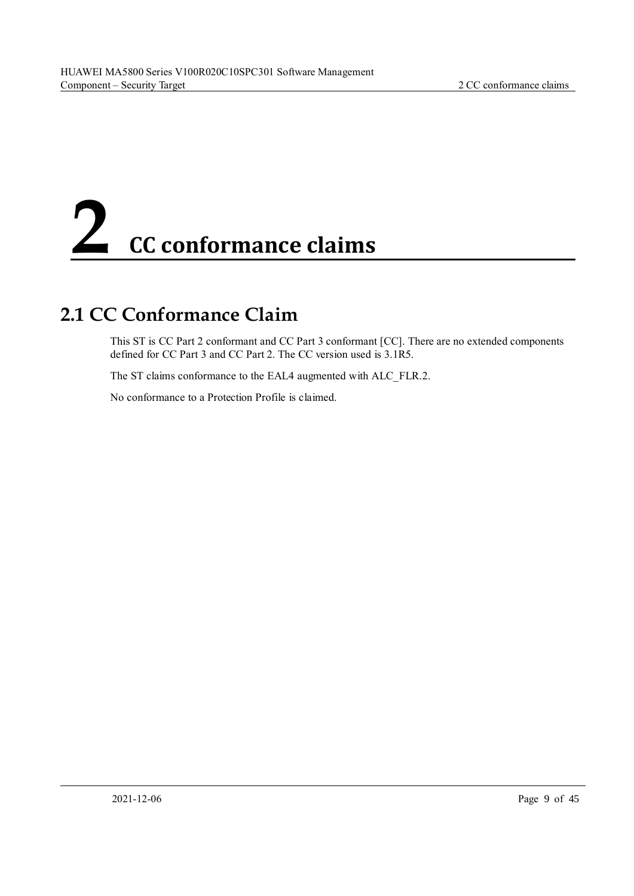# <span id="page-16-0"></span>**2 CC conformance claims**

## <span id="page-16-1"></span>**2.1 CC Conformance Claim**

This ST is CC Part 2 conformant and CC Part 3 conformant [CC]. There are no extended components defined for CC Part 3 and CC Part 2. The CC version used is 3.1R5.

The ST claims conformance to the EAL4 augmented with ALC\_FLR.2.

No conformance to a Protection Profile is claimed.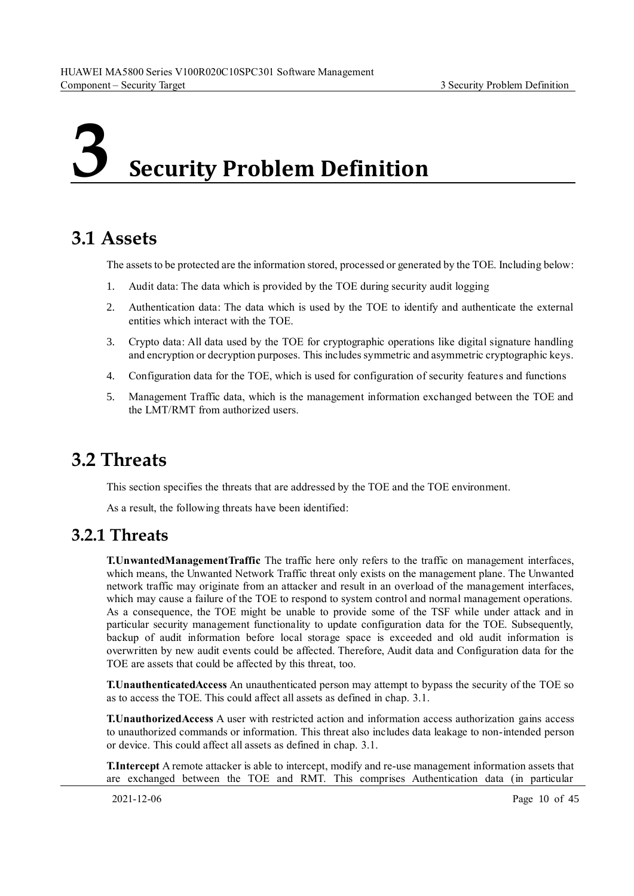## <span id="page-17-0"></span>**3 Security Problem Definition**

## <span id="page-17-1"></span>**3.1 Assets**

The assets to be protected are the information stored, processed or generated by the TOE. Including below:

- 1. Audit data: The data which is provided by the TOE during security audit logging
- 2. Authentication data: The data which is used by the TOE to identify and authenticate the external entities which interact with the TOE.
- 3. Crypto data: All data used by the TOE for cryptographic operations like digital signature handling and encryption or decryption purposes. This includes symmetric and asymmetric cryptographic keys.
- 4. Configuration data for the TOE, which is used for configuration of security features and functions
- 5. Management Traffic data, which is the management information exchanged between the TOE and the LMT/RMT from authorized users.

### <span id="page-17-2"></span>**3.2 Threats**

This section specifies the threats that are addressed by the TOE and the TOE environment.

As a result, the following threats have been identified:

#### <span id="page-17-3"></span>**3.2.1 Threats**

**T.UnwantedManagementTraffic** The traffic here only refers to the traffic on management interfaces, which means, the Unwanted Network Traffic threat only exists on the management plane. The Unwanted network traffic may originate from an attacker and result in an overload of the management interfaces, which may cause a failure of the TOE to respond to system control and normal management operations. As a consequence, the TOE might be unable to provide some of the TSF while under attack and in particular security management functionality to update configuration data for the TOE. Subsequently, backup of audit information before local storage space is exceeded and old audit information is overwritten by new audit events could be affected. Therefore, Audit data and Configuration data for the TOE are assets that could be affected by this threat, too.

**T.UnauthenticatedAccess** An unauthenticated person may attempt to bypass the security of the TOE so as to access the TOE. This could affect all assets as defined in chap. 3.1.

**T.UnauthorizedAccess** A user with restricted action and information access authorization gains access to unauthorized commands or information. This threat also includes data leakage to non-intended person or device. This could affect all assets as defined in chap. 3.1.

**T.Intercept** A remote attacker is able to intercept, modify and re-use management information assets that are exchanged between the TOE and RMT. This comprises Authentication data (in particular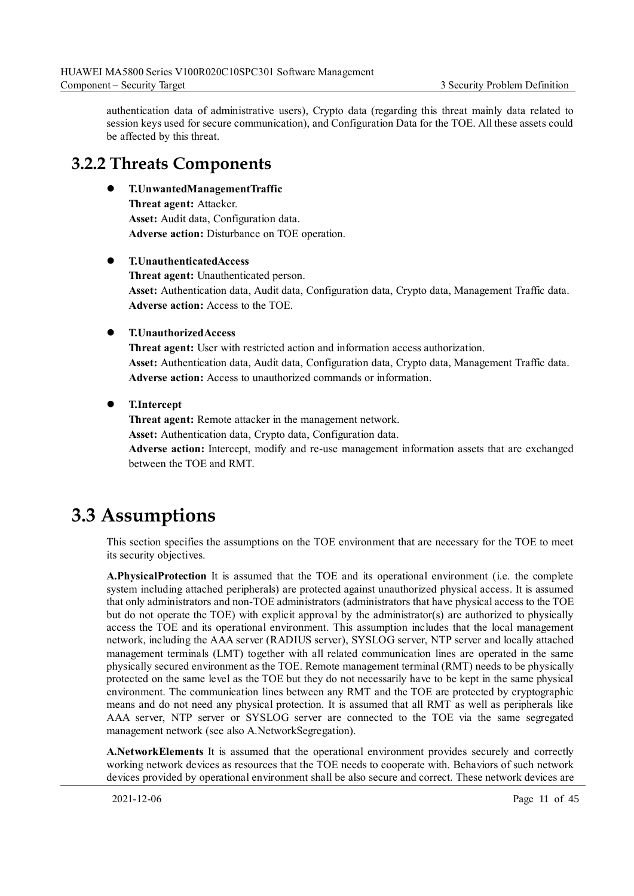authentication data of administrative users), Crypto data (regarding this threat mainly data related to session keys used for secure communication), and Configuration Data for the TOE. All these assets could be affected by this threat.

#### <span id="page-18-0"></span>**3.2.2 Threats Components**

⚫ **T.UnwantedManagementTraffic Threat agent:** Attacker. **Asset:** Audit data, Configuration data. **Adverse action:** Disturbance on TOE operation.

#### ⚫ **T.UnauthenticatedAccess**

**Threat agent:** Unauthenticated person. **Asset:** Authentication data, Audit data, Configuration data, Crypto data, Management Traffic data. **Adverse action:** Access to the TOE.

#### ⚫ **T.UnauthorizedAccess**

**Threat agent:** User with restricted action and information access authorization. **Asset:** Authentication data, Audit data, Configuration data, Crypto data, Management Traffic data. **Adverse action:** Access to unauthorized commands or information.

⚫ **T.Intercept**

**Threat agent:** Remote attacker in the management network. **Asset:** Authentication data, Crypto data, Configuration data. **Adverse action:** Intercept, modify and re-use management information assets that are exchanged between the TOE and RMT.

## <span id="page-18-1"></span>**3.3 Assumptions**

This section specifies the assumptions on the TOE environment that are necessary for the TOE to meet its security objectives.

**A.PhysicalProtection** It is assumed that the TOE and its operational environment (i.e. the complete system including attached peripherals) are protected against unauthorized physical access. It is assumed that only administrators and non-TOE administrators (administrators that have physical access to the TOE but do not operate the TOE) with explicit approval by the administrator(s) are authorized to physically access the TOE and its operational environment. This assumption includes that the local management network, including the AAA server (RADIUS server), SYSLOG server, NTP server and locally attached management terminals (LMT) together with all related communication lines are operated in the same physically secured environment as the TOE. Remote management terminal (RMT) needs to be physically protected on the same level as the TOE but they do not necessarily have to be kept in the same physical environment. The communication lines between any RMT and the TOE are protected by cryptographic means and do not need any physical protection. It is assumed that all RMT as well as peripherals like AAA server, NTP server or SYSLOG server are connected to the TOE via the same segregated management network (see also A.NetworkSegregation).

**A.NetworkElements** It is assumed that the operational environment provides securely and correctly working network devices as resources that the TOE needs to cooperate with. Behaviors of such network devices provided by operational environment shall be also secure and correct. These network devices are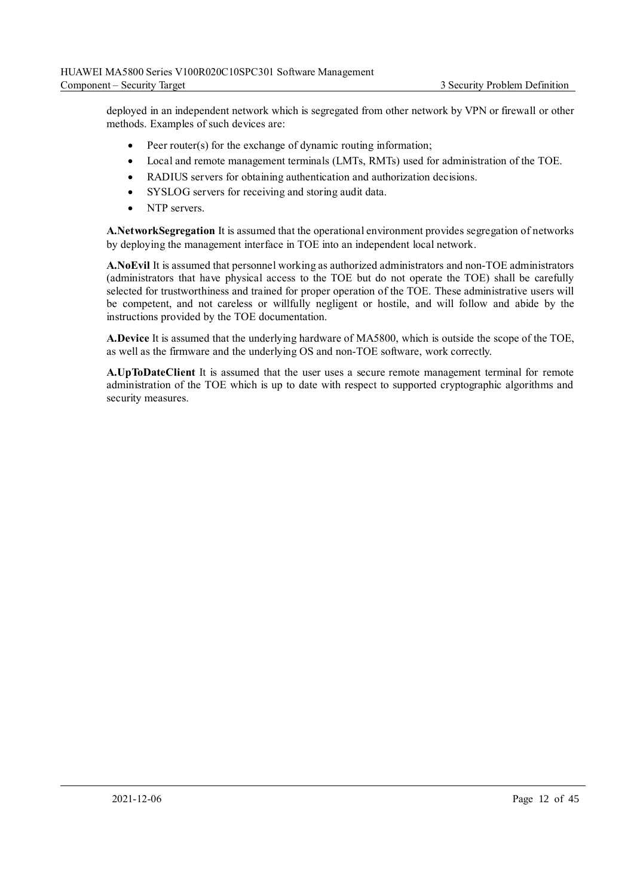deployed in an independent network which is segregated from other network by VPN or firewall or other methods. Examples of such devices are:

- Peer router(s) for the exchange of dynamic routing information;
- Local and remote management terminals (LMTs, RMTs) used for administration of the TOE.
- RADIUS servers for obtaining authentication and authorization decisions.
- SYSLOG servers for receiving and storing audit data.
- NTP servers.

**A.NetworkSegregation** It is assumed that the operational environment provides segregation of networks by deploying the management interface in TOE into an independent local network.

**A.NoEvil** It is assumed that personnel working as authorized administrators and non-TOE administrators (administrators that have physical access to the TOE but do not operate the TOE) shall be carefully selected for trustworthiness and trained for proper operation of the TOE. These administrative users will be competent, and not careless or willfully negligent or hostile, and will follow and abide by the instructions provided by the TOE documentation.

**A.Device** It is assumed that the underlying hardware of MA5800, which is outside the scope of the TOE, as well as the firmware and the underlying OS and non-TOE software, work correctly.

**A.UpToDateClient** It is assumed that the user uses a secure remote management terminal for remote administration of the TOE which is up to date with respect to supported cryptographic algorithms and security measures.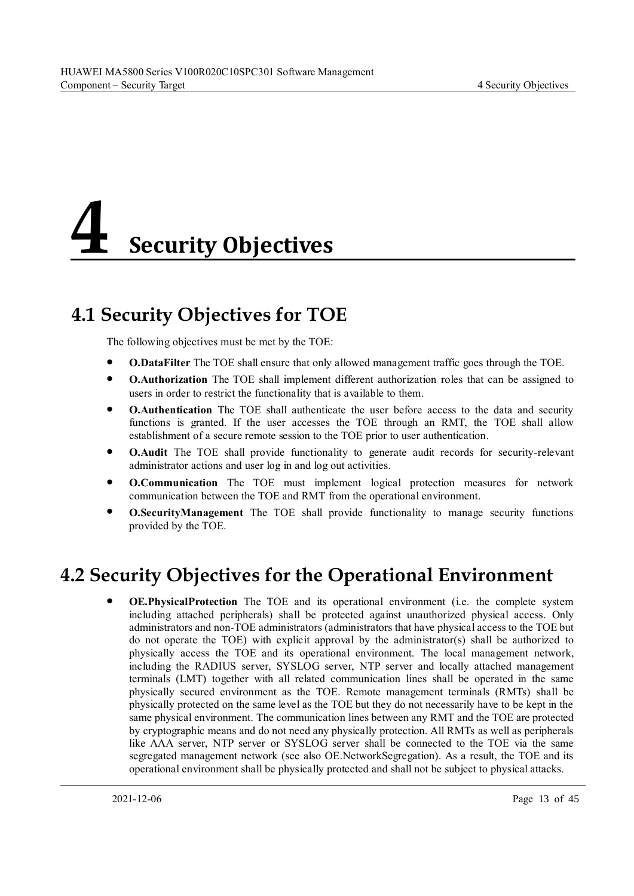## <span id="page-20-0"></span>**4 Security Objectives**

## <span id="page-20-1"></span>**4.1 Security Objectives for TOE**

The following objectives must be met by the TOE:

- ⚫ **O.DataFilter** The TOE shall ensure that only allowed management traffic goes through the TOE.
- ⚫ **O.Authorization** The TOE shall implement different authorization roles that can be assigned to users in order to restrict the functionality that is available to them.
- ⚫ **O.Authentication** The TOE shall authenticate the user before access to the data and security functions is granted. If the user accesses the TOE through an RMT, the TOE shall allow establishment of a secure remote session to the TOE prior to user authentication.
- ⚫ **O.Audit** The TOE shall provide functionality to generate audit records for security-relevant administrator actions and user log in and log out activities.
- ⚫ **O.Communication** The TOE must implement logical protection measures for network communication between the TOE and RMT from the operational environment.
- ⚫ **O.SecurityManagement** The TOE shall provide functionality to manage security functions provided by the TOE.

## <span id="page-20-2"></span>**4.2 Security Objectives for the Operational Environment**

⚫ **OE.PhysicalProtection** The TOE and its operational environment (i.e. the complete system including attached peripherals) shall be protected against unauthorized physical access. Only administrators and non-TOE administrators (administrators that have physical access to the TOE but do not operate the TOE) with explicit approval by the administrator(s) shall be authorized to physically access the TOE and its operational environment. The local management network, including the RADIUS server, SYSLOG server, NTP server and locally attached management terminals (LMT) together with all related communication lines shall be operated in the same physically secured environment as the TOE. Remote management terminals (RMTs) shall be physically protected on the same level as the TOE but they do not necessarily have to be kept in the same physical environment. The communication lines between any RMT and the TOE are protected by cryptographic means and do not need any physically protection. All RMTs as well as peripherals like AAA server, NTP server or SYSLOG server shall be connected to the TOE via the same segregated management network (see also OE.NetworkSegregation). As a result, the TOE and its operational environment shall be physically protected and shall not be subject to physical attacks.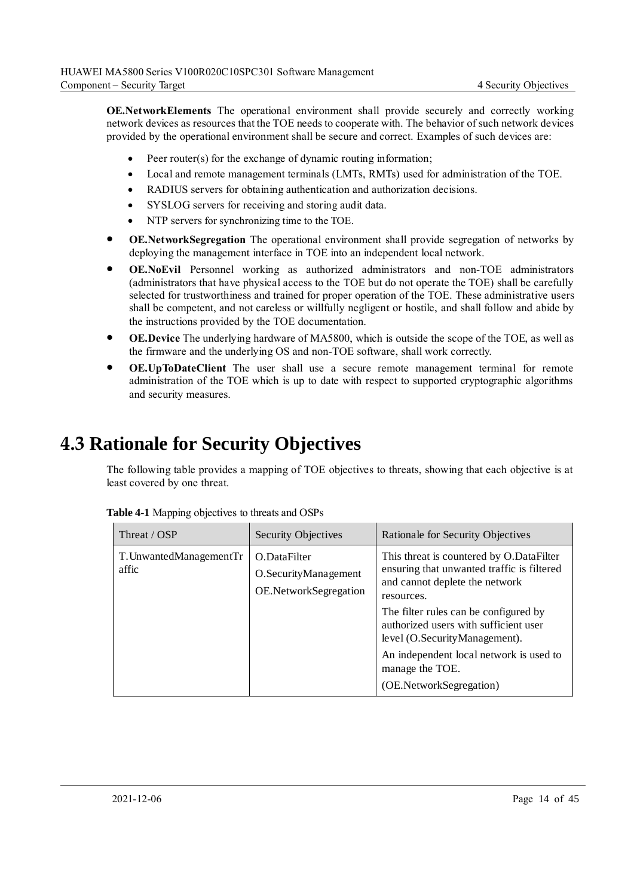**OE. NetworkElements** The operational environment shall provide securely and correctly working network devices as resources that the TOE needs to cooperate with. The behavior of such network devices provided by the operational environment shall be secure and correct. Examples of such devices are:

- Peer router(s) for the exchange of dynamic routing information;
- Local and remote management terminals (LMTs, RMTs) used for administration of the TOE.
- RADIUS servers for obtaining authentication and authorization decisions.
- SYSLOG servers for receiving and storing audit data.
- NTP servers for synchronizing time to the TOE.
- ⚫ **OE.NetworkSegregation** The operational environment shall provide segregation of networks by deploying the management interface in TOE into an independent local network.
- ⚫ **OE.NoEvil** Personnel working as authorized administrators and non-TOE administrators (administrators that have physical access to the TOE but do not operate the TOE) shall be carefully selected for trustworthiness and trained for proper operation of the TOE. These administrative users shall be competent, and not careless or willfully negligent or hostile, and shall follow and abide by the instructions provided by the TOE documentation.
- ⚫ **OE.Device** The underlying hardware of MA5800, which is outside the scope of the TOE, as well as the firmware and the underlying OS and non-TOE software, shall work correctly.
- ⚫ **OE.UpToDateClient** The user shall use a secure remote management terminal for remote administration of the TOE which is up to date with respect to supported cryptographic algorithms and security measures.

## <span id="page-21-0"></span>**4.3 Rationale for Security Objectives**

The following table provides a mapping of TOE objectives to threats, showing that each objective is at least covered by one threat.

| Threat / OSP                     | <b>Security Objectives</b>                                    | Rationale for Security Objectives                                                                                                                                                                                                                                                                                                                  |
|----------------------------------|---------------------------------------------------------------|----------------------------------------------------------------------------------------------------------------------------------------------------------------------------------------------------------------------------------------------------------------------------------------------------------------------------------------------------|
| T. UnwantedManagementTr<br>affic | O.DataFilter<br>O.SecurityManagement<br>OE.NetworkSegregation | This threat is countered by O.DataFilter<br>ensuring that unwanted traffic is filtered<br>and cannot deplete the network<br>resources.<br>The filter rules can be configured by<br>authorized users with sufficient user<br>level (O.SecurityManagement).<br>An independent local network is used to<br>manage the TOE.<br>(OE.NetworkSegregation) |

<span id="page-21-1"></span>**Table 4-1** Mapping objectives to threats and OSPs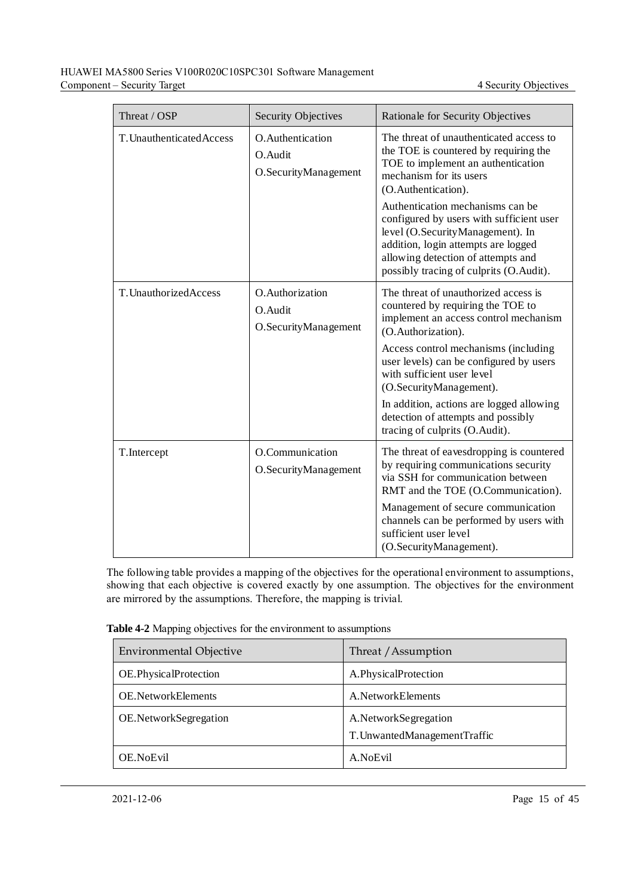| Threat / OSP              | <b>Security Objectives</b>                           | Rationale for Security Objectives                                                                                                                                                                                                        |
|---------------------------|------------------------------------------------------|------------------------------------------------------------------------------------------------------------------------------------------------------------------------------------------------------------------------------------------|
| T. Unauthenticated Access | O. Authentication<br>O.Audit<br>O.SecurityManagement | The threat of unauthenticated access to<br>the TOE is countered by requiring the<br>TOE to implement an authentication<br>mechanism for its users<br>(O.Authentication).                                                                 |
|                           |                                                      | Authentication mechanisms can be<br>configured by users with sufficient user<br>level (O.SecurityManagement). In<br>addition, login attempts are logged<br>allowing detection of attempts and<br>possibly tracing of culprits (O.Audit). |
| T. UnauthorizedAccess     | O.Authorization<br>O.Audit<br>O.SecurityManagement   | The threat of unauthorized access is<br>countered by requiring the TOE to<br>implement an access control mechanism<br>(O.Authorization).                                                                                                 |
|                           |                                                      | Access control mechanisms (including<br>user levels) can be configured by users<br>with sufficient user level<br>(O.SecurityManagement).                                                                                                 |
|                           |                                                      | In addition, actions are logged allowing<br>detection of attempts and possibly<br>tracing of culprits (O.Audit).                                                                                                                         |
| T.Intercept               | O.Communication<br>O.SecurityManagement              | The threat of eavesdropping is countered<br>by requiring communications security<br>via SSH for communication between<br>RMT and the TOE (O.Communication).                                                                              |
|                           |                                                      | Management of secure communication<br>channels can be performed by users with<br>sufficient user level<br>(O.SecurityManagement).                                                                                                        |

The following table provides a mapping of the objectives for the operational environment to assumptions, showing that each objective is covered exactly by one assumption. The objectives for the environment are mirrored by the assumptions. Therefore, the mapping is trivial.

<span id="page-22-0"></span>

| Table 4-2 Mapping objectives for the environment to assumptions |  |  |
|-----------------------------------------------------------------|--|--|
|-----------------------------------------------------------------|--|--|

| <b>Environmental Objective</b> | Threat / Assumption                                    |
|--------------------------------|--------------------------------------------------------|
| OE.PhysicalProtection          | A.PhysicalProtection                                   |
| <b>OE.NetworkElements</b>      | A. Network Elements                                    |
| OE.NetworkSegregation          | A.NetworkSegregation<br>T. Unwanted Management Traffic |
| OE.NoEvil                      | A.NoEvil                                               |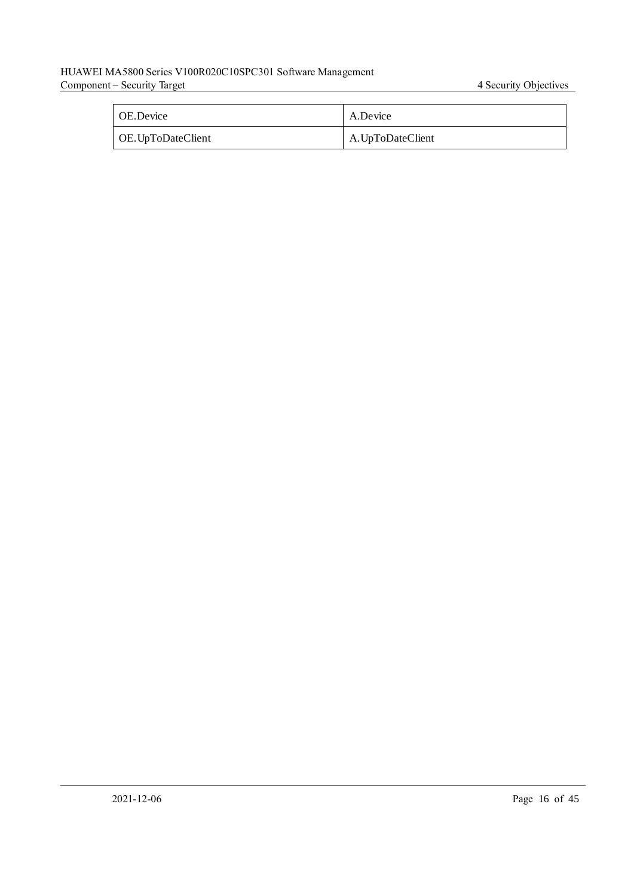#### HUAWEI MA5800 Series V100R020C10SPC301 Software Management Component – Security Target 4 Security Target 4 Security Objectives

| <b>OE.Device</b>   | A.Device          |
|--------------------|-------------------|
| OE. UpToDateClient | A. UpToDateClient |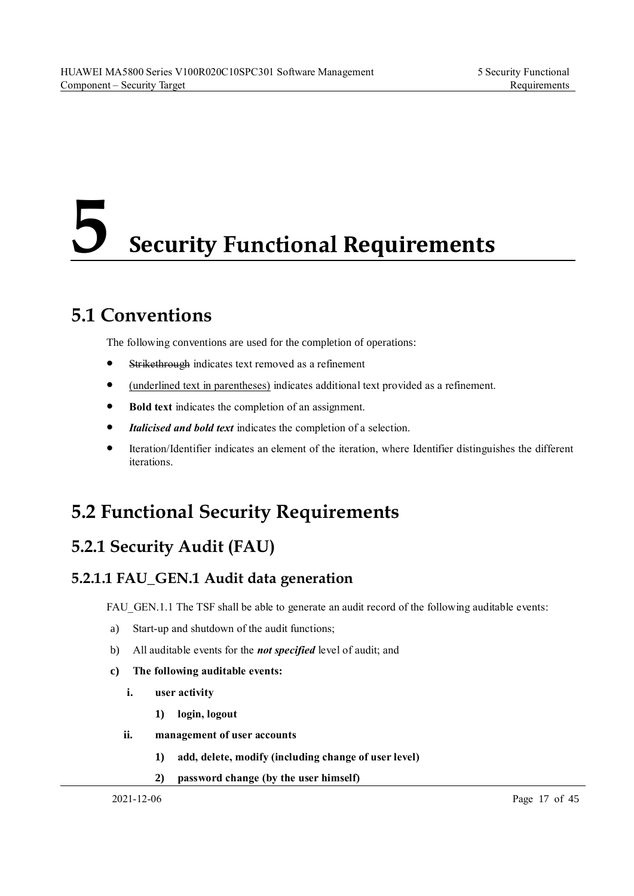## <span id="page-24-0"></span>**5 Security Functional Requirements**

## <span id="page-24-1"></span>**5.1 Conventions**

The following conventions are used for the completion of operations:

- Strikethrough indicates text removed as a refinement
- ⚫ (underlined text in parentheses) indicates additional text provided as a refinement.
- ⚫ **Bold text** indicates the completion of an assignment.
- Italicised and bold text indicates the completion of a selection.
- ⚫ Iteration/Identifier indicates an element of the iteration, where Identifier distinguishes the different iterations.

## <span id="page-24-2"></span>**5.2 Functional Security Requirements**

## <span id="page-24-3"></span>**5.2.1 Security Audit (FAU)**

#### <span id="page-24-4"></span>**5.2.1.1 FAU\_GEN.1 Audit data generation**

FAU GEN.1.1 The TSF shall be able to generate an audit record of the following auditable events:

- a) Start-up and shutdown of the audit functions;
- b) All auditable events for the *not specified* level of audit; and
- **c) The following auditable events:**
	- **i. user activity** 
		- **1) login, logout**
	- **ii. management of user accounts**
		- **1) add, delete, modify (including change of user level)**
		- **2) password change (by the user himself)**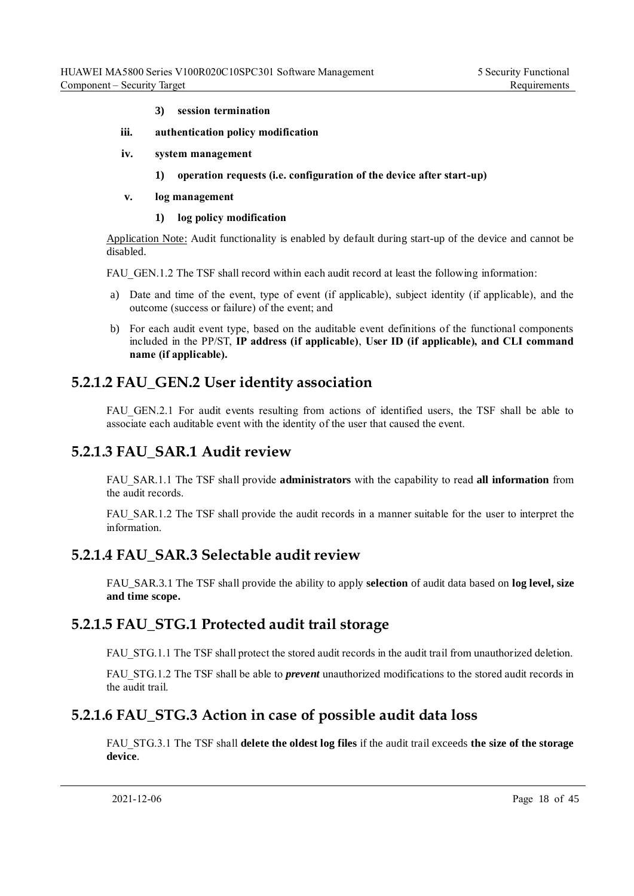- **3) session termination**
- **iii. authentication policy modification**
- **iv. system management** 
	- **1) operation requests (i.e. configuration of the device after start-up)**
- **v. log management**
	- **1) log policy modification**

Application Note: Audit functionality is enabled by default during start-up of the device and cannot be disabled.

FAU GEN.1.2 The TSF shall record within each audit record at least the following information:

- a) Date and time of the event, type of event (if applicable), subject identity (if applicable), and the outcome (success or failure) of the event; and
- b) For each audit event type, based on the auditable event definitions of the functional components included in the PP/ST, **IP address (if applicable)**, **User ID (if applicable), and CLI command name (if applicable).**

#### <span id="page-25-0"></span>**5.2.1.2 FAU\_GEN.2 User identity association**

FAU GEN.2.1 For audit events resulting from actions of identified users, the TSF shall be able to associate each auditable event with the identity of the user that caused the event.

#### <span id="page-25-1"></span>**5.2.1.3 FAU\_SAR.1 Audit review**

FAU\_SAR.1.1 The TSF shall provide **administrators** with the capability to read **all information** from the audit records.

FAU\_SAR.1.2 The TSF shall provide the audit records in a manner suitable for the user to interpret the information.

#### <span id="page-25-2"></span>**5.2.1.4 FAU\_SAR.3 Selectable audit review**

FAU\_SAR.3.1 The TSF shall provide the ability to apply **selection** of audit data based on **log level, size and time scope.**

#### <span id="page-25-3"></span>**5.2.1.5 FAU\_STG.1 Protected audit trail storage**

FAU STG.1.1 The TSF shall protect the stored audit records in the audit trail from unauthorized deletion.

FAU\_STG.1.2 The TSF shall be able to *prevent* unauthorized modifications to the stored audit records in the audit trail.

#### <span id="page-25-4"></span>**5.2.1.6 FAU\_STG.3 Action in case of possible audit data loss**

FAU\_STG.3.1 The TSF shall **delete the oldest log files** if the audit trail exceeds **the size of the storage device**.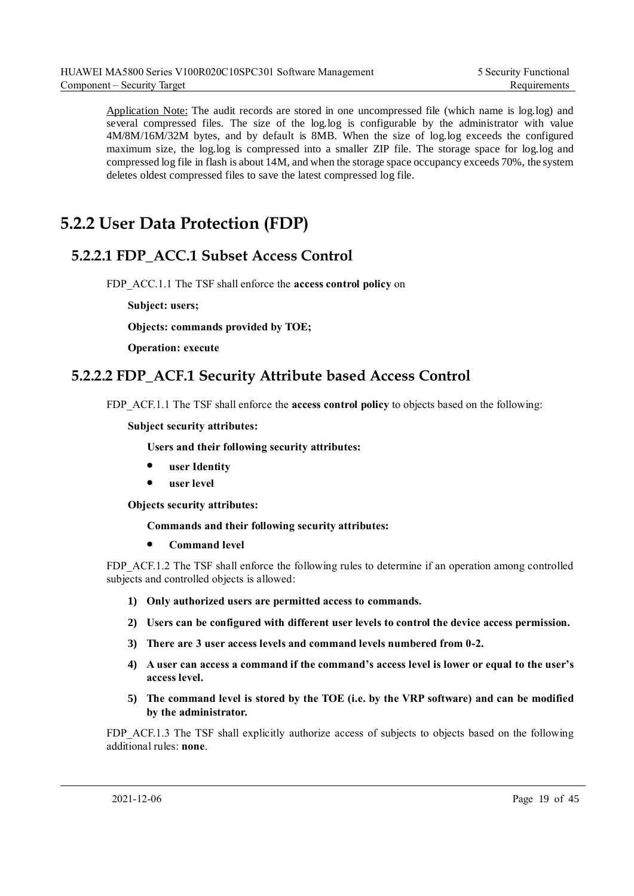Application Note: The audit records are stored in one uncompressed file (which name is log.log) and several compressed files. The size of the log.log is configurable by the administrator with value 4M/8M/16M/32M bytes, and by default is 8MB. When the size of log.log exceeds the configured maximum size, the log.log is compressed into a smaller ZIP file. The storage space for log.log and compressed log file in flash is about 14M, and when the storage space occupancy exceeds 70%, the system deletes oldest compressed files to save the latest compressed log file.

## <span id="page-26-0"></span>**5.2.2 User Data Protection (FDP)**

#### <span id="page-26-1"></span>**5.2.2.1 FDP\_ACC.1 Subset Access Control**

FDP\_ACC.1.1 The TSF shall enforce the **access control policy** on

**Subject: users;**

**Objects: commands provided by TOE;**

**Operation: execute**

#### <span id="page-26-2"></span>**5.2.2.2 FDP\_ACF.1 Security Attribute based Access Control**

FDP\_ACF.1.1 The TSF shall enforce the **access control policy** to objects based on the following:

**Subject security attributes:**

**Users and their following security attributes:**

- ⚫ **user Identity**
- ⚫ **user level**

**Objects security attributes:**

**Commands and their following security attributes:**

⚫ **Command level**

FDP\_ACF.1.2 The TSF shall enforce the following rules to determine if an operation among controlled subjects and controlled objects is allowed:

- **1) Only authorized users are permitted access to commands.**
- **2) Users can be configured with different user levels to control the device access permission.**
- **3) There are 3 user access levels and command levels numbered from 0-2.**
- **4) A user can access a command if the command's access level is lower or equal to the user's access level.**
- **5) The command level is stored by the TOE (i.e. by the VRP software) and can be modified by the administrator.**

FDP\_ACF.1.3 The TSF shall explicitly authorize access of subjects to objects based on the following additional rules: **none**.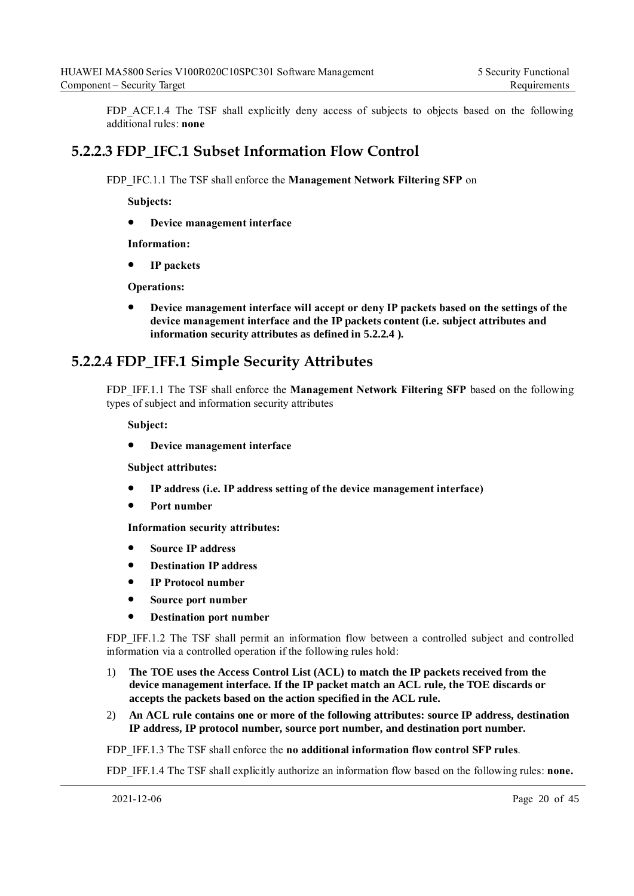FDP ACF.1.4 The TSF shall explicitly deny access of subjects to objects based on the following additional rules: **none**

#### <span id="page-27-0"></span>**5.2.2.3 FDP\_IFC.1 Subset Information Flow Control**

FDP\_IFC.1.1 The TSF shall enforce the **Management Network Filtering SFP** on

**Subjects:**

⚫ **Device management interface**

**Information:**

⚫ **IP packets**

**Operations:**

⚫ **Device management interface will accept or deny IP packets based on the settings of the device management interface and the IP packets content (i.e. subject attributes and information security attributes as defined in [5.2.2.4 \)](#page-27-1).**

#### <span id="page-27-1"></span>**5.2.2.4 FDP\_IFF.1 Simple Security Attributes**

FDP\_IFF.1.1 The TSF shall enforce the **Management Network Filtering SFP** based on the following types of subject and information security attributes

**Subject:** 

⚫ **Device management interface**

**Subject attributes:** 

- ⚫ **IP address (i.e. IP address setting of the device management interface)**
- ⚫ **Port number**

**Information security attributes:** 

- ⚫ **Source IP address**
- ⚫ **Destination IP address**
- ⚫ **IP Protocol number**
- ⚫ **Source port number**
- ⚫ **Destination port number**

FDP IFF.1.2 The TSF shall permit an information flow between a controlled subject and controlled information via a controlled operation if the following rules hold:

- 1) **The TOE uses the Access Control List (ACL) to match the IP packets received from the device management interface. If the IP packet match an ACL rule, the TOE discards or accepts the packets based on the action specified in the ACL rule.**
- 2) **An ACL rule contains one or more of the following attributes: source IP address, destination IP address, IP protocol number, source port number, and destination port number.**

FDP\_IFF.1.3 The TSF shall enforce the **no additional information flow control SFP rules**.

FDP IFF.1.4 The TSF shall explicitly authorize an information flow based on the following rules: **none.**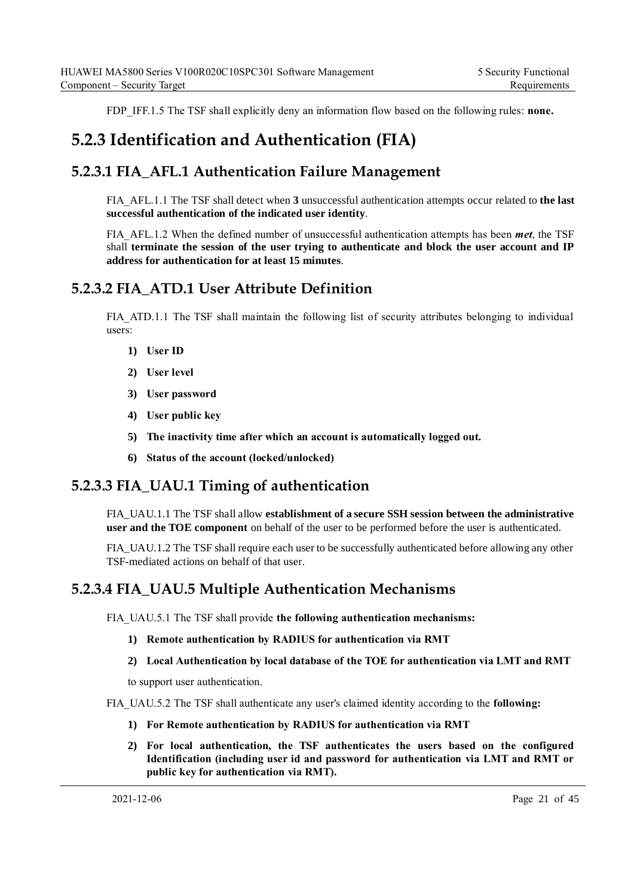FDP IFF.1.5 The TSF shall explicitly deny an information flow based on the following rules: **none.** 

### <span id="page-28-0"></span>**5.2.3 Identification and Authentication (FIA)**

#### <span id="page-28-1"></span>**5.2.3.1 FIA\_AFL.1 Authentication Failure Management**

FIA\_AFL.1.1 The TSF shall detect when **3** unsuccessful authentication attempts occur related to **the last successful authentication of the indicated user identity**.

FIA\_AFL.1.2 When the defined number of unsuccessful authentication attempts has been *met*, the TSF shall **terminate the session of the user trying to authenticate and block the user account and IP address for authentication for at least 15 minutes**.

#### <span id="page-28-2"></span>**5.2.3.2 FIA\_ATD.1 User Attribute Definition**

FIA ATD.1.1 The TSF shall maintain the following list of security attributes belonging to individual users:

- **1) User ID**
- **2) User level**
- **3) User password**
- **4) User public key**
- **5) The inactivity time after which an account is automatically logged out.**
- **6) Status of the account (locked/unlocked)**

#### <span id="page-28-3"></span>**5.2.3.3 FIA\_UAU.1 Timing of authentication**

FIA\_UAU.1.1 The TSF shall allow **establishment of a secure SSH session between the administrative user and the TOE component** on behalf of the user to be performed before the user is authenticated.

FIA\_UAU.1.2 The TSF shall require each user to be successfully authenticated before allowing any other TSF-mediated actions on behalf of that user.

#### <span id="page-28-4"></span>**5.2.3.4 FIA\_UAU.5 Multiple Authentication Mechanisms**

FIA\_UAU.5.1 The TSF shall provide **the following authentication mechanisms:**

- **1) Remote authentication by RADIUS for authentication via RMT**
- **2) Local Authentication by local database of the TOE for authentication via LMT and RMT**

to support user authentication.

FIA\_UAU.5.2 The TSF shall authenticate any user's claimed identity according to the **following:**

- **1) For Remote authentication by RADIUS for authentication via RMT**
- **2) For local authentication, the TSF authenticates the users based on the configured Identification (including user id and password for authentication via LMT and RMT or public key for authentication via RMT).**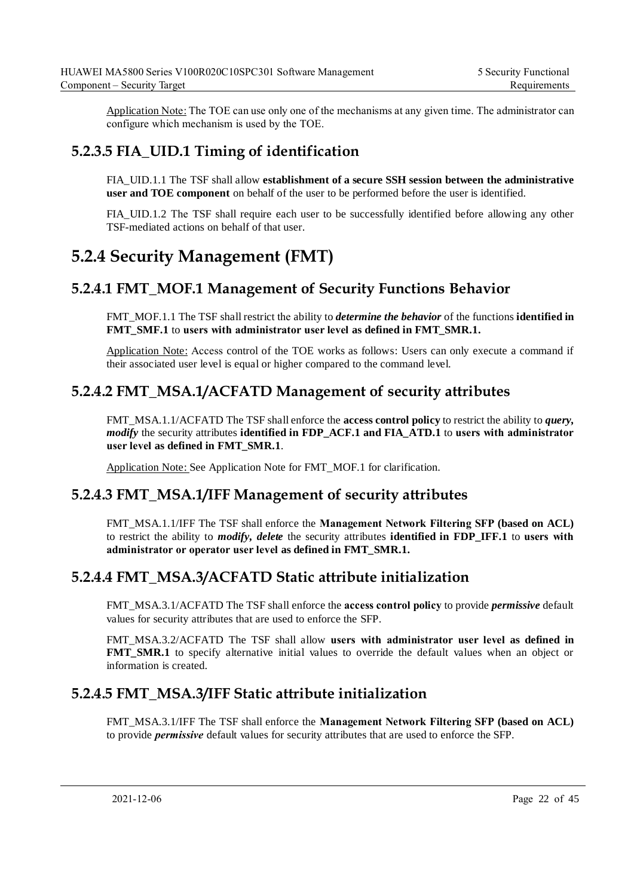Application Note: The TOE can use only one of the mechanisms at any given time. The administrator can configure which mechanism is used by the TOE.

#### <span id="page-29-0"></span>**5.2.3.5 FIA\_UID.1 Timing of identification**

FIA\_UID.1.1 The TSF shall allow **establishment of a secure SSH session between the administrative user and TOE component** on behalf of the user to be performed before the user is identified.

FIA\_UID.1.2 The TSF shall require each user to be successfully identified before allowing any other TSF-mediated actions on behalf of that user.

## <span id="page-29-1"></span>**5.2.4 Security Management (FMT)**

#### <span id="page-29-2"></span>**5.2.4.1 FMT\_MOF.1 Management of Security Functions Behavior**

FMT\_MOF.1.1 The TSF shall restrict the ability to *determine the behavior* of the functions **identified in FMT\_SMF.1** to **users with administrator user level as defined in FMT\_SMR.1.**

Application Note: Access control of the TOE works as follows: Users can only execute a command if their associated user level is equal or higher compared to the command level.

#### <span id="page-29-3"></span>**5.2.4.2 FMT\_MSA.1/ACFATD Management of security attributes**

FMT\_MSA.1.1/ACFATD The TSF shall enforce the **access control policy** to restrict the ability to *query, modify* the security attributes **identified in FDP\_ACF.1 and FIA\_ATD.1** to **users with administrator user level as defined in FMT\_SMR.1**.

Application Note: See Application Note for FMT\_MOF.1 for clarification.

#### <span id="page-29-4"></span>**5.2.4.3 FMT\_MSA.1/IFF Management of security attributes**

FMT\_MSA.1.1/IFF The TSF shall enforce the **Management Network Filtering SFP (based on ACL)** to restrict the ability to *modify, delete* the security attributes **identified in FDP\_IFF.1** to **users with administrator or operator user level as defined in FMT\_SMR.1.**

#### <span id="page-29-5"></span>**5.2.4.4 FMT\_MSA.3/ACFATD Static attribute initialization**

FMT\_MSA.3.1/ACFATD The TSF shall enforce the **access control policy** to provide *permissive* default values for security attributes that are used to enforce the SFP.

FMT\_MSA.3.2/ACFATD The TSF shall allow **users with administrator user level as defined in FMT\_SMR.1** to specify alternative initial values to override the default values when an object or information is created.

#### <span id="page-29-6"></span>**5.2.4.5 FMT\_MSA.3/IFF Static attribute initialization**

FMT\_MSA.3.1/IFF The TSF shall enforce the **Management Network Filtering SFP (based on ACL)** to provide *permissive* default values for security attributes that are used to enforce the SFP.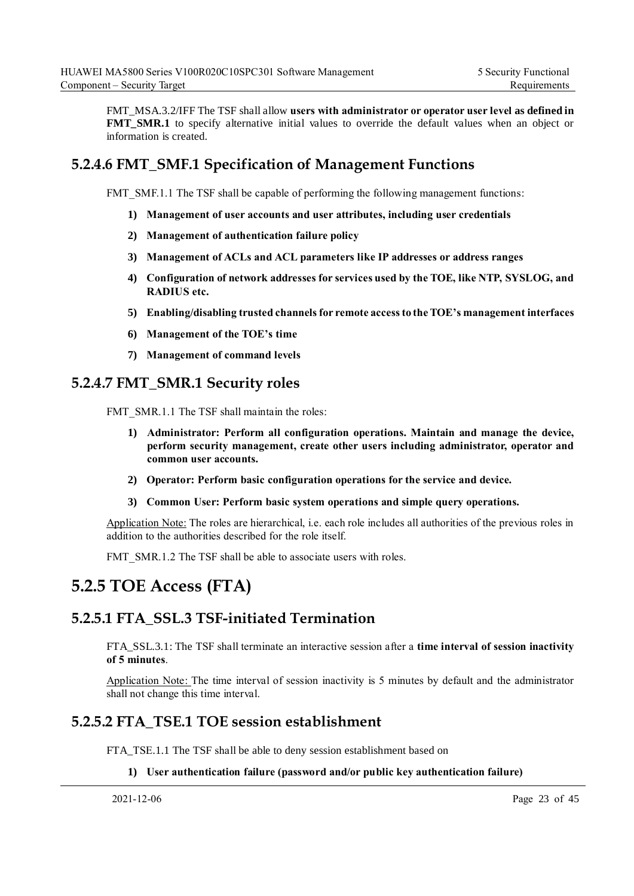FMT\_MSA.3.2/IFF The TSF shall allow **users with administrator or operator user level as defined in FMT\_SMR.1** to specify alternative initial values to override the default values when an object or information is created.

#### <span id="page-30-0"></span>**5.2.4.6 FMT\_SMF.1 Specification of Management Functions**

FMT\_SMF.1.1 The TSF shall be capable of performing the following management functions:

- **1) Management of user accounts and user attributes, including user credentials**
- **2) Management of authentication failure policy**
- **3) Management of ACLs and ACL parameters like IP addresses or address ranges**
- **4) Configuration of network addresses for services used by the TOE, like NTP, SYSLOG, and RADIUS etc.**
- **5) Enabling/disabling trusted channels for remote access to the TOE's management interfaces**
- **6) Management of the TOE's time**
- **7) Management of command levels**

#### <span id="page-30-1"></span>**5.2.4.7 FMT\_SMR.1 Security roles**

FMT\_SMR.1.1 The TSF shall maintain the roles:

- **1) Administrator: Perform all configuration operations. Maintain and manage the device, perform security management, create other users including administrator, operator and common user accounts.**
- **2) Operator: Perform basic configuration operations for the service and device.**
- **3) Common User: Perform basic system operations and simple query operations.**

Application Note: The roles are hierarchical, i.e. each role includes all authorities of the previous roles in addition to the authorities described for the role itself.

FMT\_SMR.1.2 The TSF shall be able to associate users with roles.

### <span id="page-30-2"></span>**5.2.5 TOE Access (FTA)**

#### <span id="page-30-3"></span>**5.2.5.1 FTA\_SSL.3 TSF-initiated Termination**

FTA\_SSL.3.1: The TSF shall terminate an interactive session after a **time interval of session inactivity of 5 minutes**.

Application Note: The time interval of session inactivity is 5 minutes by default and the administrator shall not change this time interval.

#### <span id="page-30-4"></span>**5.2.5.2 FTA\_TSE.1 TOE session establishment**

FTA\_TSE.1.1 The TSF shall be able to deny session establishment based on

#### **1) User authentication failure (password and/or public key authentication failure)**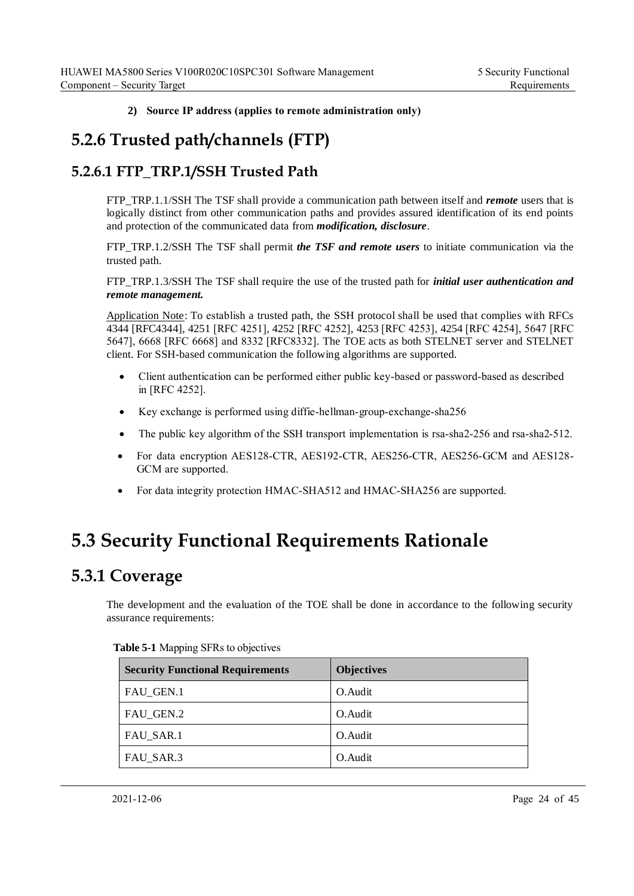**2) Source IP address (applies to remote administration only)**

## <span id="page-31-0"></span>**5.2.6 Trusted path/channels (FTP)**

#### <span id="page-31-1"></span>**5.2.6.1 FTP\_TRP.1/SSH Trusted Path**

FTP\_TRP.1.1/SSH The TSF shall provide a communication path between itself and *remote* users that is logically distinct from other communication paths and provides assured identification of its end points and protection of the communicated data from *modification, disclosure*.

FTP\_TRP.1.2/SSH The TSF shall permit *the TSF and remote users* to initiate communication via the trusted path.

FTP\_TRP.1.3/SSH The TSF shall require the use of the trusted path for *initial user authentication and remote management.*

Application Note: To establish a trusted path, the SSH protocol shall be used that complies with RFCs 4344 [RFC4344], 4251 [RFC 4251], 4252 [RFC 4252], 4253 [RFC 4253], 4254 [RFC 4254], 5647 [RFC 5647], 6668 [RFC 6668] and 8332 [RFC8332]. The TOE acts as both STELNET server and STELNET client. For SSH-based communication the following algorithms are supported.

- Client authentication can be performed either public key-based or password-based as described in [RFC 4252].
- Key exchange is performed using diffie-hellman-group-exchange-sha256
- The public key algorithm of the SSH transport implementation is rsa-sha2-256 and rsa-sha2-512.
- For data encryption AES128-CTR, AES192-CTR, AES256-CTR, AES256-GCM and AES128- GCM are supported.
- For data integrity protection HMAC-SHA512 and HMAC-SHA256 are supported.

## <span id="page-31-2"></span>**5.3 Security Functional Requirements Rationale**

### <span id="page-31-3"></span>**5.3.1 Coverage**

The development and the evaluation of the TOE shall be done in accordance to the following security assurance requirements:

| <b>Security Functional Requirements</b> | <b>Objectives</b> |
|-----------------------------------------|-------------------|
| FAU_GEN.1                               | O. Audit          |
| FAU GEN.2                               | O. Audit          |
| FAU_SAR.1                               | O. Audit          |
| FAU_SAR.3                               | O. Audit          |

#### <span id="page-31-4"></span>**Table 5-1** Mapping SFRs to objectives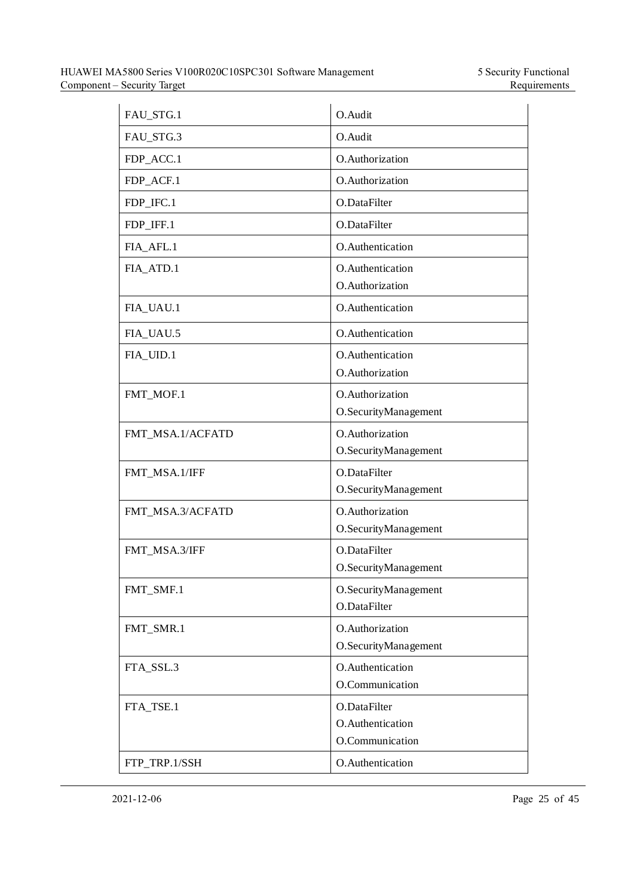| FAU_STG.1        | O.Audit                                             |
|------------------|-----------------------------------------------------|
| FAU_STG.3        | O.Audit                                             |
| FDP_ACC.1        | O.Authorization                                     |
| FDP_ACF.1        | O.Authorization                                     |
| FDP_IFC.1        | O.DataFilter                                        |
| FDP_IFF.1        | O.DataFilter                                        |
| FIA_AFL.1        | O.Authentication                                    |
| FIA_ATD.1        | O.Authentication<br>O.Authorization                 |
| FIA_UAU.1        | O.Authentication                                    |
| FIA_UAU.5        | O.Authentication                                    |
| FIA_UID.1        | O.Authentication<br>O.Authorization                 |
| FMT MOF.1        | O.Authorization<br>O.SecurityManagement             |
| FMT_MSA.1/ACFATD | O.Authorization<br>O.SecurityManagement             |
| FMT_MSA.1/IFF    | O.DataFilter<br>O.SecurityManagement                |
| FMT_MSA.3/ACFATD | O.Authorization<br>O.SecurityManagement             |
| FMT_MSA.3/IFF    | O.DataFilter<br>O.SecurityManagement                |
| FMT_SMF.1        | O.SecurityManagement<br>O.DataFilter                |
| FMT_SMR.1        | O.Authorization<br>O.SecurityManagement             |
| FTA_SSL.3        | O.Authentication<br>O.Communication                 |
| FTA_TSE.1        | O.DataFilter<br>O.Authentication<br>O.Communication |
| FTP_TRP.1/SSH    | O.Authentication                                    |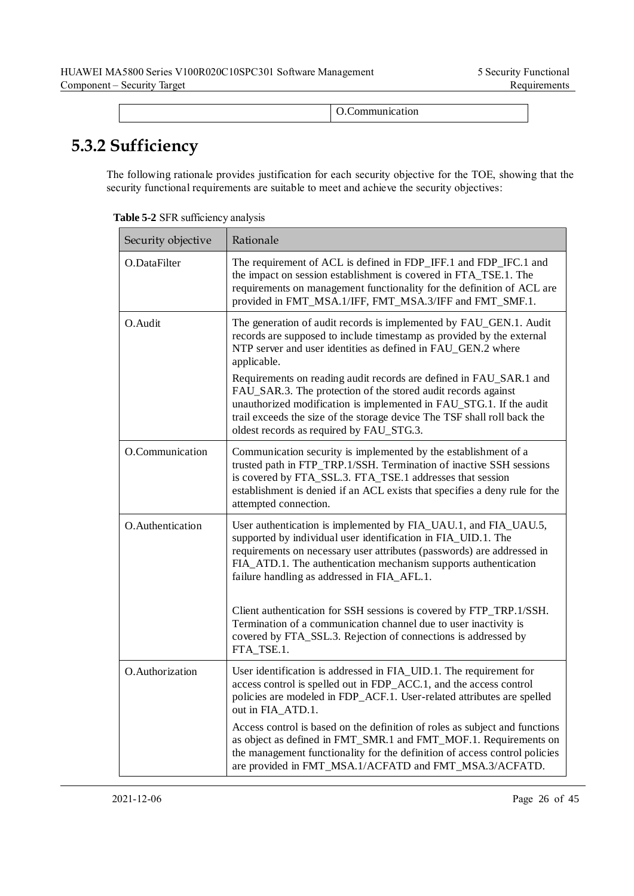|  | Communication.<br>. |
|--|---------------------|
|  |                     |

## <span id="page-33-0"></span>**5.3.2 Sufficiency**

The following rationale provides justification for each security objective for the TOE, showing that the security functional requirements are suitable to meet and achieve the security objectives:

| Security objective | Rationale                                                                                                                                                                                                                                                                                                                          |
|--------------------|------------------------------------------------------------------------------------------------------------------------------------------------------------------------------------------------------------------------------------------------------------------------------------------------------------------------------------|
| O.DataFilter       | The requirement of ACL is defined in FDP_IFF.1 and FDP_IFC.1 and<br>the impact on session establishment is covered in FTA_TSE.1. The<br>requirements on management functionality for the definition of ACL are<br>provided in FMT_MSA.1/IFF, FMT_MSA.3/IFF and FMT_SMF.1.                                                          |
| O.Audit            | The generation of audit records is implemented by FAU_GEN.1. Audit<br>records are supposed to include timestamp as provided by the external<br>NTP server and user identities as defined in FAU_GEN.2 where<br>applicable.                                                                                                         |
|                    | Requirements on reading audit records are defined in FAU_SAR.1 and<br>FAU_SAR.3. The protection of the stored audit records against<br>unauthorized modification is implemented in FAU_STG.1. If the audit<br>trail exceeds the size of the storage device The TSF shall roll back the<br>oldest records as required by FAU_STG.3. |
| O.Communication    | Communication security is implemented by the establishment of a<br>trusted path in FTP_TRP.1/SSH. Termination of inactive SSH sessions<br>is covered by FTA_SSL.3. FTA_TSE.1 addresses that session<br>establishment is denied if an ACL exists that specifies a deny rule for the<br>attempted connection.                        |
| O.Authentication   | User authentication is implemented by FIA_UAU.1, and FIA_UAU.5,<br>supported by individual user identification in FIA_UID.1. The<br>requirements on necessary user attributes (passwords) are addressed in<br>FIA_ATD.1. The authentication mechanism supports authentication<br>failure handling as addressed in FIA_AFL.1.       |
|                    | Client authentication for SSH sessions is covered by FTP_TRP.1/SSH.<br>Termination of a communication channel due to user inactivity is<br>covered by FTA_SSL.3. Rejection of connections is addressed by<br>FTA_TSE.1.                                                                                                            |
| O.Authorization    | User identification is addressed in FIA_UID.1. The requirement for<br>access control is spelled out in FDP_ACC.1, and the access control<br>policies are modeled in FDP_ACF.1. User-related attributes are spelled<br>out in FIA_ATD.1.                                                                                            |
|                    | Access control is based on the definition of roles as subject and functions<br>as object as defined in FMT_SMR.1 and FMT_MOF.1. Requirements on<br>the management functionality for the definition of access control policies<br>are provided in FMT_MSA.1/ACFATD and FMT_MSA.3/ACFATD.                                            |

<span id="page-33-1"></span>**Table 5-2** SFR sufficiency analysis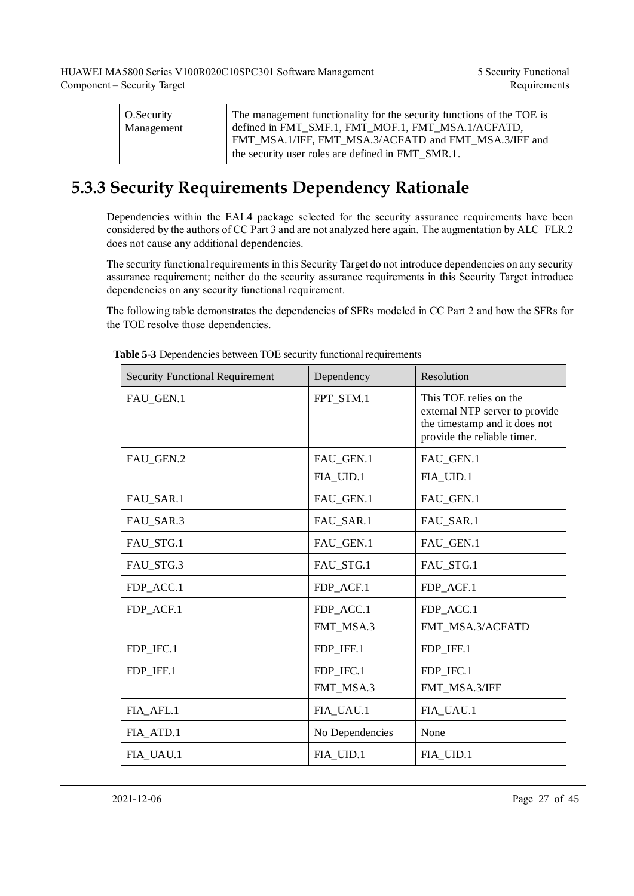| O.Security | The management functionality for the security functions of the TOE is                                       |
|------------|-------------------------------------------------------------------------------------------------------------|
| Management | defined in FMT SMF.1, FMT MOF.1, FMT MSA.1/ACFATD,<br>FMT_MSA.1/IFF, FMT_MSA.3/ACFATD and FMT_MSA.3/IFF and |
|            | the security user roles are defined in FMT SMR.1.                                                           |

## <span id="page-34-0"></span>**5.3.3 Security Requirements Dependency Rationale**

Dependencies within the EAL4 package selected for the security assurance requirements have been considered by the authors of CC Part 3 and are not analyzed here again. The augmentation by ALC\_FLR.2 does not cause any additional dependencies.

The security functional requirements in this Security Target do not introduce dependencies on any security assurance requirement; neither do the security assurance requirements in this Security Target introduce dependencies on any security functional requirement.

The following table demonstrates the dependencies of SFRs modeled in CC Part 2 and how the SFRs for the TOE resolve those dependencies.

| <b>Security Functional Requirement</b> | Dependency      | Resolution                                                                                                               |
|----------------------------------------|-----------------|--------------------------------------------------------------------------------------------------------------------------|
| FAU_GEN.1                              | FPT_STM.1       | This TOE relies on the<br>external NTP server to provide<br>the timestamp and it does not<br>provide the reliable timer. |
| FAU_GEN.2                              | FAU_GEN.1       | FAU_GEN.1                                                                                                                |
|                                        | FIA_UID.1       | FIA_UID.1                                                                                                                |
| FAU_SAR.1                              | FAU_GEN.1       | FAU_GEN.1                                                                                                                |
| FAU_SAR.3                              | FAU_SAR.1       | FAU_SAR.1                                                                                                                |
| FAU_STG.1                              | FAU_GEN.1       | FAU_GEN.1                                                                                                                |
| FAU_STG.3                              | FAU_STG.1       | FAU_STG.1                                                                                                                |
| FDP_ACC.1                              | FDP_ACF.1       | FDP_ACF.1                                                                                                                |
| FDP_ACF.1                              | FDP_ACC.1       | FDP_ACC.1                                                                                                                |
|                                        | FMT_MSA.3       | FMT_MSA.3/ACFATD                                                                                                         |
| FDP_IFC.1                              | FDP IFF.1       | FDP IFF.1                                                                                                                |
| FDP IFF.1                              | FDP IFC.1       | FDP IFC.1                                                                                                                |
|                                        | FMT_MSA.3       | FMT_MSA.3/IFF                                                                                                            |
| FIA_AFL.1                              | FIA_UAU.1       | FIA_UAU.1                                                                                                                |
| FIA_ATD.1                              | No Dependencies | None                                                                                                                     |
| FIA_UAU.1                              | FIA_UID.1       | FIA_UID.1                                                                                                                |

<span id="page-34-1"></span>**Table 5-3** Dependencies between TOE security functional requirements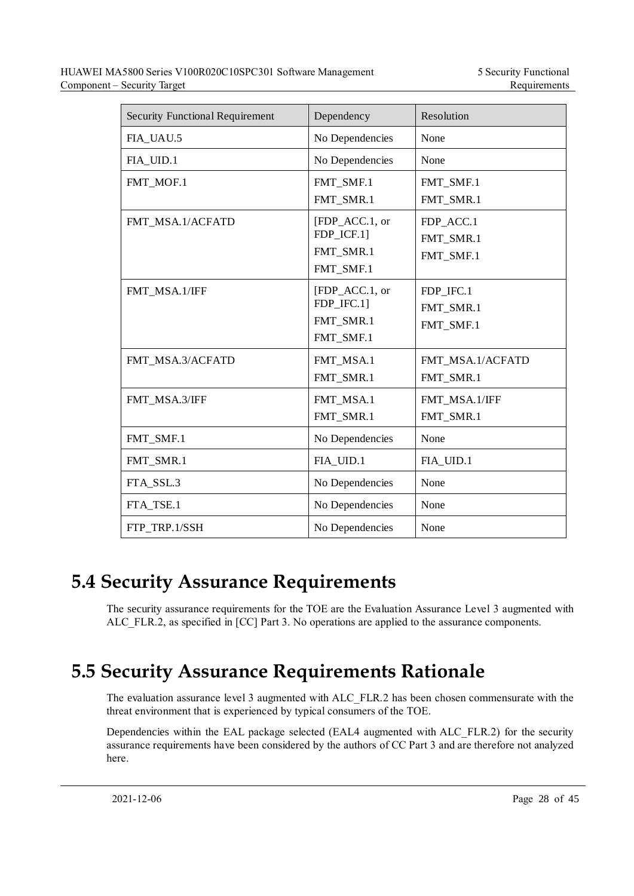| <b>Security Functional Requirement</b> | Dependency                                             | Resolution                          |
|----------------------------------------|--------------------------------------------------------|-------------------------------------|
| FIA UAU.5                              | No Dependencies                                        | None                                |
| FIA_UID.1                              | No Dependencies                                        | None                                |
| FMT_MOF.1                              | FMT_SMF.1<br>FMT_SMR.1                                 | FMT_SMF.1<br>FMT_SMR.1              |
| FMT_MSA.1/ACFATD                       | [FDP_ACC.1, or<br>FDP_ICF.1]<br>FMT_SMR.1<br>FMT_SMF.1 | FDP_ACC.1<br>FMT_SMR.1<br>FMT_SMF.1 |
| FMT_MSA.1/IFF                          | [FDP_ACC.1, or<br>FDP_IFC.1]<br>FMT_SMR.1<br>FMT_SMF.1 | FDP_IFC.1<br>FMT SMR.1<br>FMT_SMF.1 |
| FMT_MSA.3/ACFATD                       | FMT_MSA.1<br>FMT_SMR.1                                 | FMT_MSA.1/ACFATD<br>FMT_SMR.1       |
| FMT_MSA.3/IFF                          | FMT_MSA.1<br>FMT_SMR.1                                 | FMT_MSA.1/IFF<br>FMT_SMR.1          |
| FMT_SMF.1                              | No Dependencies                                        | None                                |
| FMT_SMR.1                              | FIA_UID.1                                              | FIA_UID.1                           |
| FTA SSL.3                              | No Dependencies                                        | None                                |
| FTA_TSE.1                              | No Dependencies                                        | None                                |
| FTP TRP.1/SSH                          | No Dependencies                                        | None                                |

## <span id="page-35-0"></span>**5.4 Security Assurance Requirements**

The security assurance requirements for the TOE are the Evaluation Assurance Level 3 augmented with ALC FLR.2, as specified in [CC] Part 3. No operations are applied to the assurance components.

## <span id="page-35-1"></span>**5.5 Security Assurance Requirements Rationale**

The evaluation assurance level 3 augmented with ALC\_FLR.2 has been chosen commensurate with the threat environment that is experienced by typical consumers of the TOE.

Dependencies within the EAL package selected (EAL4 augmented with ALC\_FLR.2) for the security assurance requirements have been considered by the authors of CC Part 3 and are therefore not analyzed here.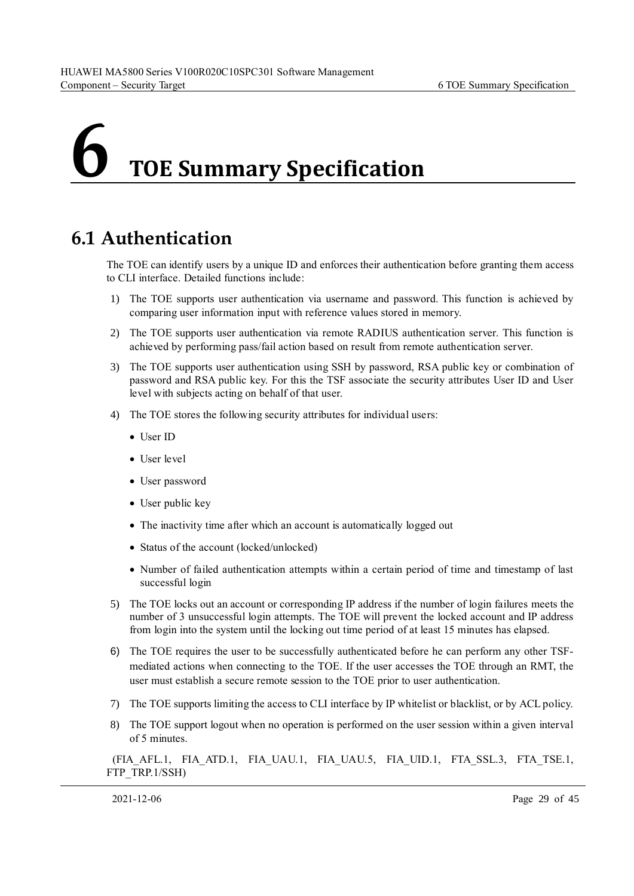# <span id="page-36-0"></span>**6 TOE Summary Specification**

## <span id="page-36-1"></span>**6.1 Authentication**

The TOE can identify users by a unique ID and enforces their authentication before granting them access to CLI interface. Detailed functions include:

- 1) The TOE supports user authentication via username and password. This function is achieved by comparing user information input with reference values stored in memory.
- 2) The TOE supports user authentication via remote RADIUS authentication server. This function is achieved by performing pass/fail action based on result from remote authentication server.
- 3) The TOE supports user authentication using SSH by password, RSA public key or combination of password and RSA public key. For this the TSF associate the security attributes User ID and User level with subjects acting on behalf of that user.
- 4) The TOE stores the following security attributes for individual users:
	- User ID
	- User level
	- User password
	- User public key
	- The inactivity time after which an account is automatically logged out
	- Status of the account (locked/unlocked)
	- Number of failed authentication attempts within a certain period of time and timestamp of last successful login
- 5) The TOE locks out an account or corresponding IP address if the number of login failures meets the number of 3 unsuccessful login attempts. The TOE will prevent the locked account and IP address from login into the system until the locking out time period of at least 15 minutes has elapsed.
- 6) The TOE requires the user to be successfully authenticated before he can perform any other TSFmediated actions when connecting to the TOE. If the user accesses the TOE through an RMT, the user must establish a secure remote session to the TOE prior to user authentication.
- 7) The TOE supports limiting the access to CLI interface by IP whitelist or blacklist, or by ACL policy.
- 8) The TOE support logout when no operation is performed on the user session within a given interval of 5 minutes.

(FIA\_AFL.1, FIA\_ATD.1, FIA\_UAU.1, FIA\_UAU.5, FIA\_UID.1, FTA\_SSL.3, FTA\_TSE.1, FTP\_TRP.1/SSH)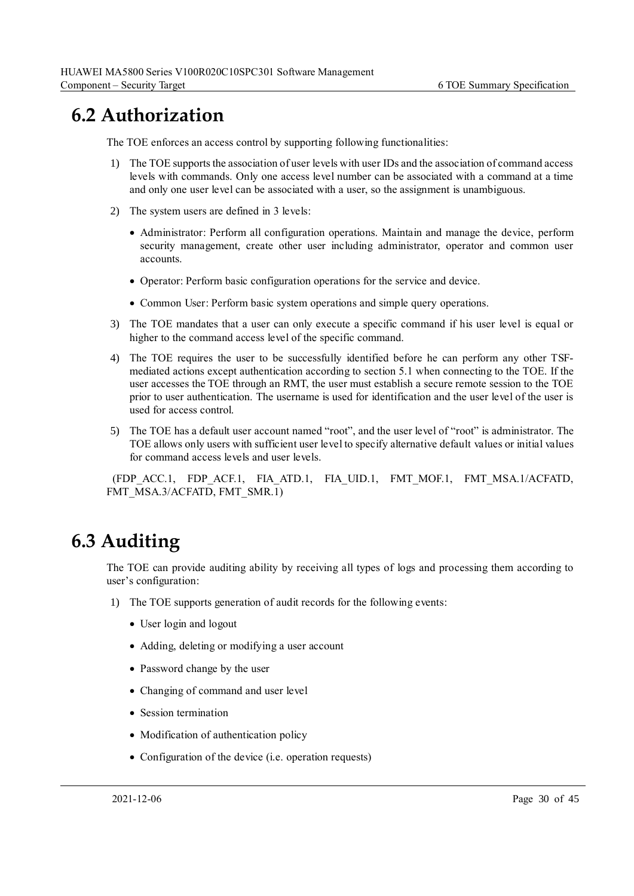## <span id="page-37-0"></span>**6.2 Authorization**

The TOE enforces an access control by supporting following functionalities:

- 1) The TOE supports the association of user levels with user IDs and the association of command access levels with commands. Only one access level number can be associated with a command at a time and only one user level can be associated with a user, so the assignment is unambiguous.
- 2) The system users are defined in 3 levels:
	- Administrator: Perform all configuration operations. Maintain and manage the device, perform security management, create other user including administrator, operator and common user accounts.
	- Operator: Perform basic configuration operations for the service and device.
	- Common User: Perform basic system operations and simple query operations.
- 3) The TOE mandates that a user can only execute a specific command if his user level is equal or higher to the command access level of the specific command.
- 4) The TOE requires the user to be successfully identified before he can perform any other TSFmediated actions except authentication according to section 5.1 when connecting to the TOE. If the user accesses the TOE through an RMT, the user must establish a secure remote session to the TOE prior to user authentication. The username is used for identification and the user level of the user is used for access control.
- 5) The TOE has a default user account named "root", and the user level of "root" is administrator. The TOE allows only users with sufficient user level to specify alternative default values or initial values for command access levels and user levels.

(FDP\_ACC.1, FDP\_ACF.1, FIA\_ATD.1, FIA\_UID.1, FMT\_MOF.1, FMT\_MSA.1/ACFATD, FMT\_MSA.3/ACFATD, FMT\_SMR.1)

## <span id="page-37-1"></span>**6.3 Auditing**

The TOE can provide auditing ability by receiving all types of logs and processing them according to user's configuration:

- 1) The TOE supports generation of audit records for the following events:
	- User login and logout
	- Adding, deleting or modifying a user account
	- Password change by the user
	- Changing of command and user level
	- Session termination
	- Modification of authentication policy
	- Configuration of the device (i.e. operation requests)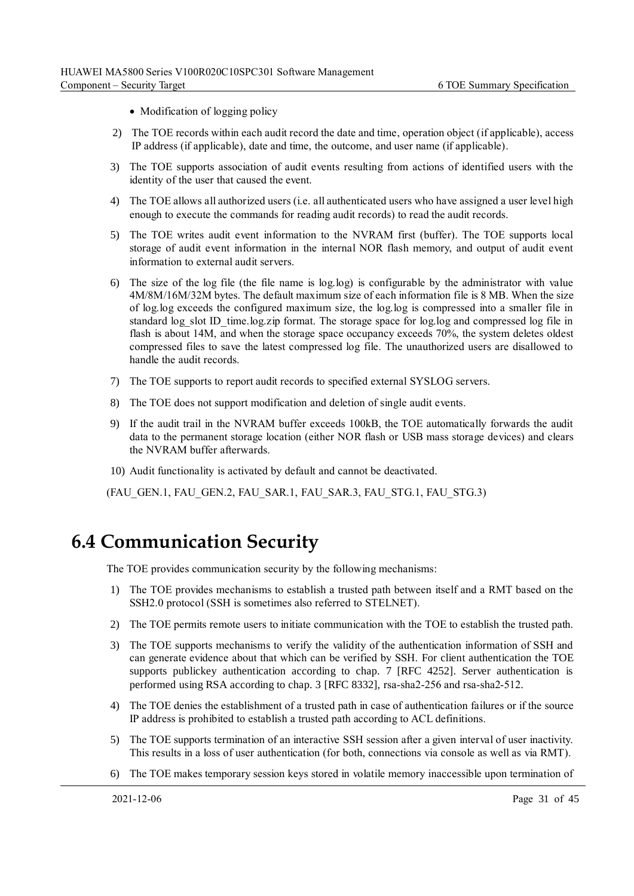- Modification of logging policy
- 2) The TOE records within each audit record the date and time, operation object (if applicable), access IP address (if applicable), date and time, the outcome, and user name (if applicable).
- 3) The TOE supports association of audit events resulting from actions of identified users with the identity of the user that caused the event.
- 4) The TOE allows all authorized users (i.e. all authenticated users who have assigned a user level high enough to execute the commands for reading audit records) to read the audit records.
- 5) The TOE writes audit event information to the NVRAM first (buffer). The TOE supports local storage of audit event information in the internal NOR flash memory, and output of audit event information to external audit servers.
- 6) The size of the log file (the file name is log.log) is configurable by the administrator with value 4M/8M/16M/32M bytes. The default maximum size of each information file is 8 MB. When the size of log.log exceeds the configured maximum size, the log.log is compressed into a smaller file in standard log slot ID time.log.zip format. The storage space for log.log and compressed log file in flash is about 14M, and when the storage space occupancy exceeds 70%, the system deletes oldest compressed files to save the latest compressed log file. The unauthorized users are disallowed to handle the audit records.
- 7) The TOE supports to report audit records to specified external SYSLOG servers.
- 8) The TOE does not support modification and deletion of single audit events.
- 9) If the audit trail in the NVRAM buffer exceeds 100kB, the TOE automatically forwards the audit data to the permanent storage location (either NOR flash or USB mass storage devices) and clears the NVRAM buffer afterwards.
- 10) Audit functionality is activated by default and cannot be deactivated.

(FAU\_GEN.1, FAU\_GEN.2, FAU\_SAR.1, FAU\_SAR.3, FAU\_STG.1, FAU\_STG.3)

## <span id="page-38-0"></span>**6.4 Communication Security**

The TOE provides communication security by the following mechanisms:

- 1) The TOE provides mechanisms to establish a trusted path between itself and a RMT based on the SSH2.0 protocol (SSH is sometimes also referred to STELNET).
- 2) The TOE permits remote users to initiate communication with the TOE to establish the trusted path.
- 3) The TOE supports mechanisms to verify the validity of the authentication information of SSH and can generate evidence about that which can be verified by SSH. For client authentication the TOE supports publickey authentication according to chap. 7 [RFC 4252]. Server authentication is performed using RSA according to chap. 3 [RFC 8332], rsa-sha2-256 and rsa-sha2-512.
- 4) The TOE denies the establishment of a trusted path in case of authentication failures or if the source IP address is prohibited to establish a trusted path according to ACL definitions.
- 5) The TOE supports termination of an interactive SSH session after a given interval of user inactivity. This results in a loss of user authentication (for both, connections via console as well as via RMT).
- 6) The TOE makes temporary session keys stored in volatile memory inaccessible upon termination of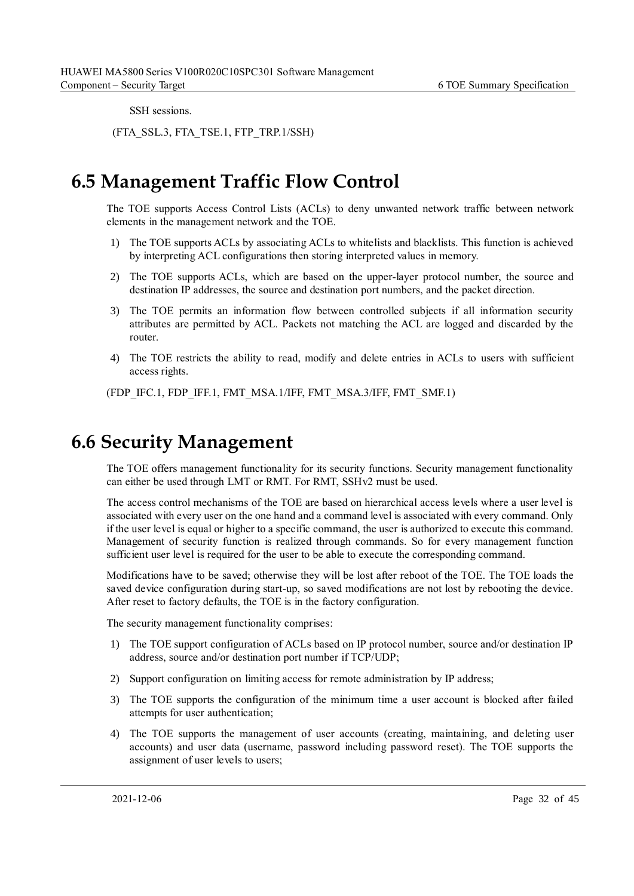SSH sessions.

(FTA\_SSL.3, FTA\_TSE.1, FTP\_TRP.1/SSH)

## <span id="page-39-0"></span>**6.5 Management Traffic Flow Control**

The TOE supports Access Control Lists (ACLs) to deny unwanted network traffic between network elements in the management network and the TOE.

- 1) The TOE supports ACLs by associating ACLs to whitelists and blacklists. This function is achieved by interpreting ACL configurations then storing interpreted values in memory.
- 2) The TOE supports ACLs, which are based on the upper-layer protocol number, the source and destination IP addresses, the source and destination port numbers, and the packet direction.
- 3) The TOE permits an information flow between controlled subjects if all information security attributes are permitted by ACL. Packets not matching the ACL are logged and discarded by the router.
- 4) The TOE restricts the ability to read, modify and delete entries in ACLs to users with sufficient access rights.

(FDP\_IFC.1, FDP\_IFF.1, FMT\_MSA.1/IFF, FMT\_MSA.3/IFF, FMT\_SMF.1)

## <span id="page-39-1"></span>**6.6 Security Management**

The TOE offers management functionality for its security functions. Security management functionality can either be used through LMT or RMT. For RMT, SSHv2 must be used.

The access control mechanisms of the TOE are based on hierarchical access levels where a user level is associated with every user on the one hand and a command level is associated with every command. Only if the user level is equal or higher to a specific command, the user is authorized to execute this command. Management of security function is realized through commands. So for every management function sufficient user level is required for the user to be able to execute the corresponding command.

Modifications have to be saved; otherwise they will be lost after reboot of the TOE. The TOE loads the saved device configuration during start-up, so saved modifications are not lost by rebooting the device. After reset to factory defaults, the TOE is in the factory configuration.

The security management functionality comprises:

- 1) The TOE support configuration of ACLs based on IP protocol number, source and/or destination IP address, source and/or destination port number if TCP/UDP;
- 2) Support configuration on limiting access for remote administration by IP address;
- 3) The TOE supports the configuration of the minimum time a user account is blocked after failed attempts for user authentication;
- 4) The TOE supports the management of user accounts (creating, maintaining, and deleting user accounts) and user data (username, password including password reset). The TOE supports the assignment of user levels to users;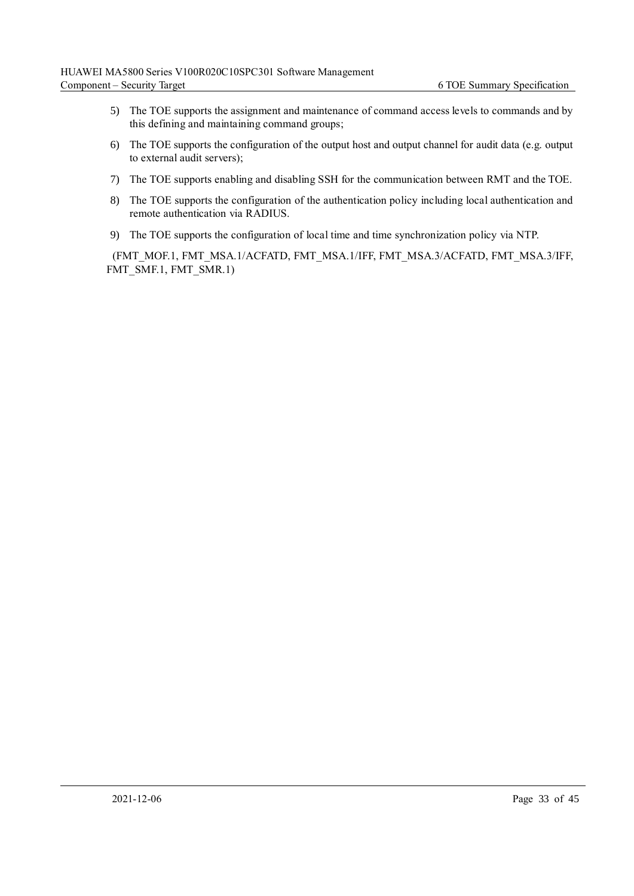- 5) The TOE supports the assignment and maintenance of command access levels to commands and by this defining and maintaining command groups;
- 6) The TOE supports the configuration of the output host and output channel for audit data (e.g. output to external audit servers);
- 7) The TOE supports enabling and disabling SSH for the communication between RMT and the TOE.
- 8) The TOE supports the configuration of the authentication policy including local authentication and remote authentication via RADIUS.
- 9) The TOE supports the configuration of local time and time synchronization policy via NTP.

(FMT\_MOF.1, FMT\_MSA.1/ACFATD, FMT\_MSA.1/IFF, FMT\_MSA.3/ACFATD, FMT\_MSA.3/IFF, FMT\_SMF.1, FMT\_SMR.1)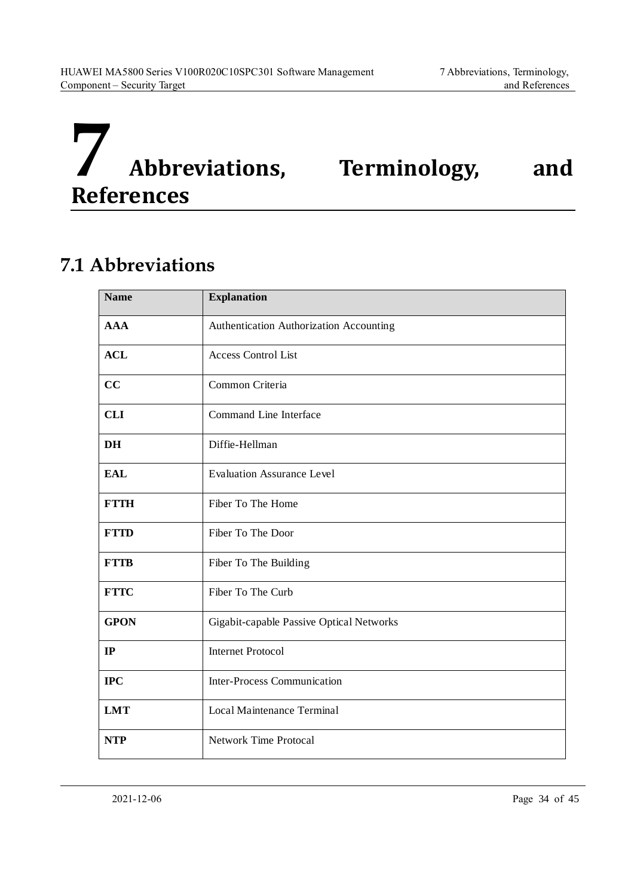<span id="page-41-0"></span>

## <span id="page-41-1"></span>**7.1 Abbreviations**

| <b>Name</b> | <b>Explanation</b>                       |
|-------------|------------------------------------------|
| <b>AAA</b>  | Authentication Authorization Accounting  |
| <b>ACL</b>  | <b>Access Control List</b>               |
| cc          | Common Criteria                          |
| <b>CLI</b>  | Command Line Interface                   |
| <b>DH</b>   | Diffie-Hellman                           |
| <b>EAL</b>  | <b>Evaluation Assurance Level</b>        |
| <b>FTTH</b> | Fiber To The Home                        |
| <b>FTTD</b> | Fiber To The Door                        |
| <b>FTTB</b> | Fiber To The Building                    |
| <b>FTTC</b> | Fiber To The Curb                        |
| <b>GPON</b> | Gigabit-capable Passive Optical Networks |
| IP          | <b>Internet Protocol</b>                 |
| <b>IPC</b>  | <b>Inter-Process Communication</b>       |
| <b>LMT</b>  | Local Maintenance Terminal               |
| <b>NTP</b>  | <b>Network Time Protocal</b>             |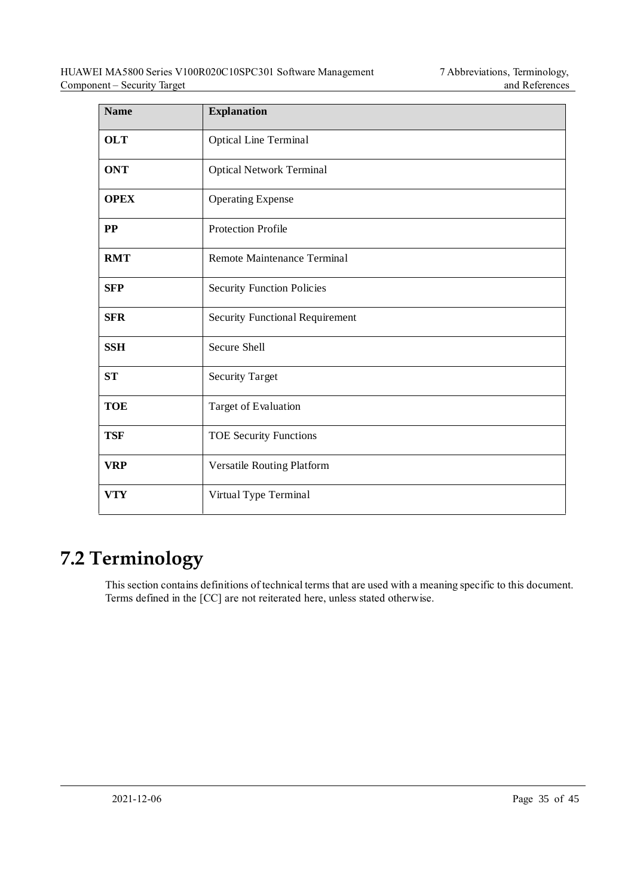| <b>Name</b> | <b>Explanation</b>                     |
|-------------|----------------------------------------|
| <b>OLT</b>  | <b>Optical Line Terminal</b>           |
| <b>ONT</b>  | <b>Optical Network Terminal</b>        |
| <b>OPEX</b> | <b>Operating Expense</b>               |
| $\bf PP$    | <b>Protection Profile</b>              |
| <b>RMT</b>  | Remote Maintenance Terminal            |
| <b>SFP</b>  | <b>Security Function Policies</b>      |
| <b>SFR</b>  | <b>Security Functional Requirement</b> |
| <b>SSH</b>  | Secure Shell                           |
| <b>ST</b>   | <b>Security Target</b>                 |
| <b>TOE</b>  | Target of Evaluation                   |
| <b>TSF</b>  | <b>TOE Security Functions</b>          |
| <b>VRP</b>  | Versatile Routing Platform             |
| <b>VTY</b>  | Virtual Type Terminal                  |

## <span id="page-42-0"></span>**7.2 Terminology**

This section contains definitions of technical terms that are used with a meaning specific to this document. Terms defined in the [CC] are not reiterated here, unless stated otherwise.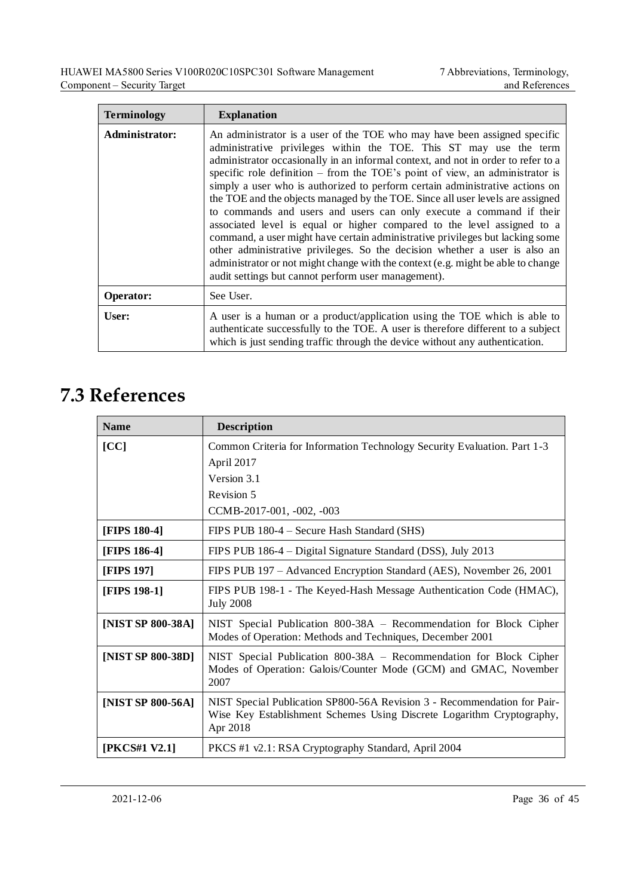| <b>Terminology</b> | <b>Explanation</b>                                                                                                                                                                                                                                                                                                                                                                                                                                                                                                                                                                                                                                                                                                                                                                                                                                                                                                                                   |
|--------------------|------------------------------------------------------------------------------------------------------------------------------------------------------------------------------------------------------------------------------------------------------------------------------------------------------------------------------------------------------------------------------------------------------------------------------------------------------------------------------------------------------------------------------------------------------------------------------------------------------------------------------------------------------------------------------------------------------------------------------------------------------------------------------------------------------------------------------------------------------------------------------------------------------------------------------------------------------|
| Administrator:     | An administrator is a user of the TOE who may have been assigned specific<br>administrative privileges within the TOE. This ST may use the term<br>administrator occasionally in an informal context, and not in order to refer to a<br>specific role definition $-$ from the TOE's point of view, an administrator is<br>simply a user who is authorized to perform certain administrative actions on<br>the TOE and the objects managed by the TOE. Since all user levels are assigned<br>to commands and users and users can only execute a command if their<br>associated level is equal or higher compared to the level assigned to a<br>command, a user might have certain administrative privileges but lacking some<br>other administrative privileges. So the decision whether a user is also an<br>administrator or not might change with the context (e.g. might be able to change<br>audit settings but cannot perform user management). |
| Operator:          | See User.                                                                                                                                                                                                                                                                                                                                                                                                                                                                                                                                                                                                                                                                                                                                                                                                                                                                                                                                            |
| User:              | A user is a human or a product/application using the TOE which is able to<br>authenticate successfully to the TOE. A user is therefore different to a subject<br>which is just sending traffic through the device without any authentication.                                                                                                                                                                                                                                                                                                                                                                                                                                                                                                                                                                                                                                                                                                        |

## <span id="page-43-0"></span>**7.3 References**

| <b>Name</b>       | <b>Description</b>                                                                                                                                            |
|-------------------|---------------------------------------------------------------------------------------------------------------------------------------------------------------|
| [CC]              | Common Criteria for Information Technology Security Evaluation. Part 1-3                                                                                      |
|                   | April 2017                                                                                                                                                    |
|                   | Version 3.1                                                                                                                                                   |
|                   | Revision 5                                                                                                                                                    |
|                   | CCMB-2017-001, -002, -003                                                                                                                                     |
| [FIPS 180-4]      | FIPS PUB 180-4 – Secure Hash Standard (SHS)                                                                                                                   |
| [FIPS 186-4]      | FIPS PUB 186-4 – Digital Signature Standard (DSS), July 2013                                                                                                  |
| [FIPS 197]        | FIPS PUB 197 – Advanced Encryption Standard (AES), November 26, 2001                                                                                          |
| [FIPS 198-1]      | FIPS PUB 198-1 - The Keyed-Hash Message Authentication Code (HMAC),<br><b>July 2008</b>                                                                       |
| [NIST SP 800-38A] | NIST Special Publication 800-38A - Recommendation for Block Cipher<br>Modes of Operation: Methods and Techniques, December 2001                               |
| [NIST SP 800-38D] | NIST Special Publication 800-38A - Recommendation for Block Cipher<br>Modes of Operation: Galois/Counter Mode (GCM) and GMAC, November<br>2007                |
| [NIST SP 800-56A] | NIST Special Publication SP800-56A Revision 3 - Recommendation for Pair-<br>Wise Key Establishment Schemes Using Discrete Logarithm Cryptography,<br>Apr 2018 |
| [PKCS#1 V2.1]     | PKCS #1 v2.1: RSA Cryptography Standard, April 2004                                                                                                           |